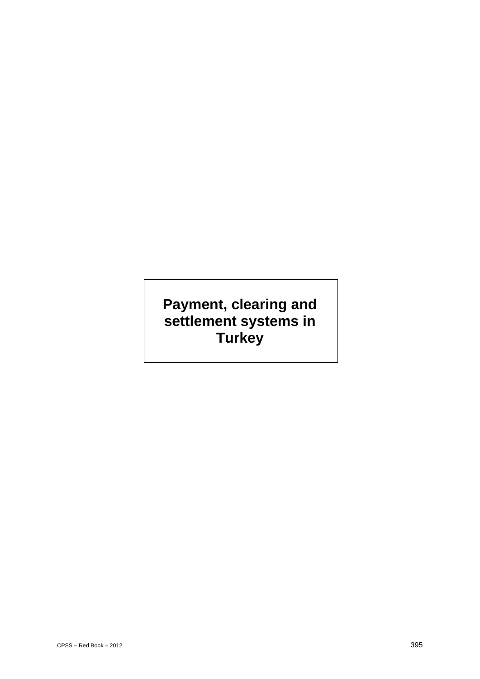# **Payment, clearing and settlement systems in Turkey**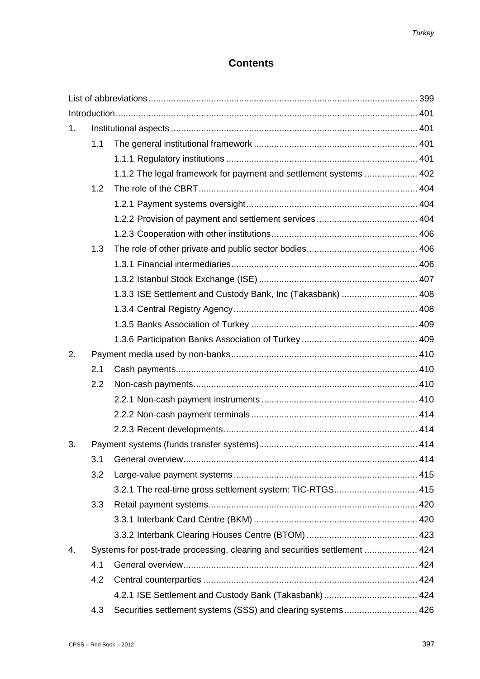# **Contents**

| 1. |                                                                            |                                                                   |  |
|----|----------------------------------------------------------------------------|-------------------------------------------------------------------|--|
|    | 1.1                                                                        |                                                                   |  |
|    |                                                                            |                                                                   |  |
|    |                                                                            | 1.1.2 The legal framework for payment and settlement systems  402 |  |
|    | 1.2                                                                        |                                                                   |  |
|    |                                                                            |                                                                   |  |
|    |                                                                            |                                                                   |  |
|    |                                                                            |                                                                   |  |
|    | 1.3                                                                        |                                                                   |  |
|    |                                                                            |                                                                   |  |
|    |                                                                            |                                                                   |  |
|    |                                                                            | 1.3.3 ISE Settlement and Custody Bank, Inc (Takasbank)  408       |  |
|    |                                                                            |                                                                   |  |
|    |                                                                            |                                                                   |  |
|    |                                                                            |                                                                   |  |
| 2. |                                                                            |                                                                   |  |
|    | 2.1                                                                        |                                                                   |  |
|    | 2.2                                                                        |                                                                   |  |
|    |                                                                            |                                                                   |  |
|    |                                                                            |                                                                   |  |
|    |                                                                            |                                                                   |  |
| 3. |                                                                            |                                                                   |  |
|    | 3.1                                                                        |                                                                   |  |
|    | 3.2                                                                        |                                                                   |  |
|    |                                                                            | 3.2.1 The real-time gross settlement system: TIC-RTGS 415         |  |
|    | 3.3                                                                        |                                                                   |  |
|    |                                                                            |                                                                   |  |
|    |                                                                            |                                                                   |  |
| 4. | Systems for post-trade processing, clearing and securities settlement  424 |                                                                   |  |
|    | 4.1                                                                        |                                                                   |  |
|    | 4.2                                                                        |                                                                   |  |
|    |                                                                            |                                                                   |  |
|    | 4.3                                                                        | Securities settlement systems (SSS) and clearing systems 426      |  |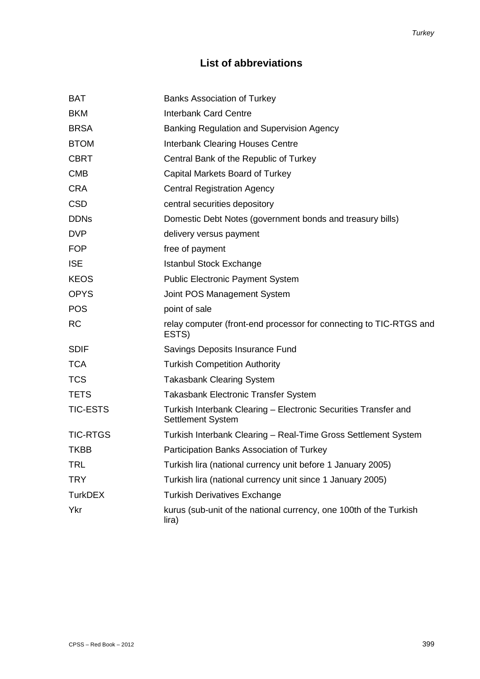# **List of abbreviations**

| <b>BAT</b>      | <b>Banks Association of Turkey</b>                                                          |
|-----------------|---------------------------------------------------------------------------------------------|
| <b>BKM</b>      | <b>Interbank Card Centre</b>                                                                |
| <b>BRSA</b>     | Banking Regulation and Supervision Agency                                                   |
| <b>BTOM</b>     | <b>Interbank Clearing Houses Centre</b>                                                     |
| <b>CBRT</b>     | Central Bank of the Republic of Turkey                                                      |
| <b>CMB</b>      | Capital Markets Board of Turkey                                                             |
| <b>CRA</b>      | <b>Central Registration Agency</b>                                                          |
| <b>CSD</b>      | central securities depository                                                               |
| <b>DDNs</b>     | Domestic Debt Notes (government bonds and treasury bills)                                   |
| <b>DVP</b>      | delivery versus payment                                                                     |
| <b>FOP</b>      | free of payment                                                                             |
| <b>ISE</b>      | <b>Istanbul Stock Exchange</b>                                                              |
| <b>KEOS</b>     | <b>Public Electronic Payment System</b>                                                     |
| <b>OPYS</b>     | Joint POS Management System                                                                 |
| <b>POS</b>      | point of sale                                                                               |
| <b>RC</b>       | relay computer (front-end processor for connecting to TIC-RTGS and<br>ESTS)                 |
| <b>SDIF</b>     | Savings Deposits Insurance Fund                                                             |
| <b>TCA</b>      | <b>Turkish Competition Authority</b>                                                        |
| <b>TCS</b>      | <b>Takasbank Clearing System</b>                                                            |
| <b>TETS</b>     | <b>Takasbank Electronic Transfer System</b>                                                 |
| <b>TIC-ESTS</b> | Turkish Interbank Clearing - Electronic Securities Transfer and<br><b>Settlement System</b> |
| <b>TIC-RTGS</b> | Turkish Interbank Clearing - Real-Time Gross Settlement System                              |
| <b>TKBB</b>     | Participation Banks Association of Turkey                                                   |
| <b>TRL</b>      | Turkish lira (national currency unit before 1 January 2005)                                 |
| <b>TRY</b>      | Turkish lira (national currency unit since 1 January 2005)                                  |
| <b>TurkDEX</b>  | <b>Turkish Derivatives Exchange</b>                                                         |
| Ykr             | kurus (sub-unit of the national currency, one 100th of the Turkish<br>lira)                 |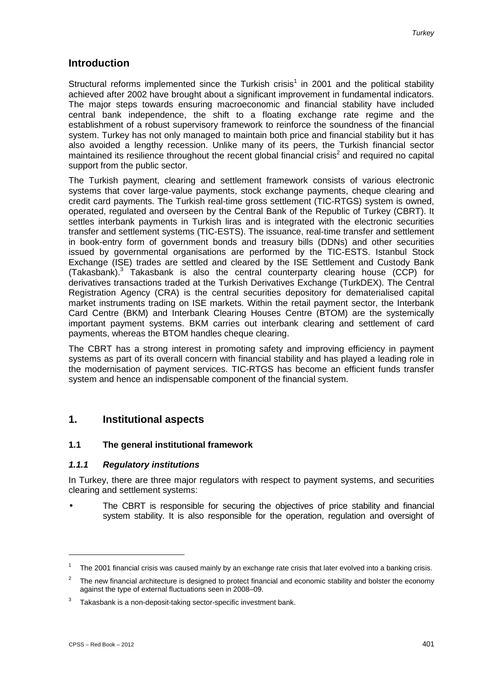# **Introduction**

Structural reforms implemented since the Turkish crisis<sup>1</sup> in 2001 and the political stability achieved after 2002 have brought about a significant improvement in fundamental indicators. The major steps towards ensuring macroeconomic and financial stability have included central bank independence, the shift to a floating exchange rate regime and the establishment of a robust supervisory framework to reinforce the soundness of the financial system. Turkey has not only managed to maintain both price and financial stability but it has also avoided a lengthy recession. Unlike many of its peers, the Turkish financial sector maintained its resilience throughout the recent global financial crisis<sup>2</sup> and required no capital support from the public sector.

The Turkish payment, clearing and settlement framework consists of various electronic systems that cover large-value payments, stock exchange payments, cheque clearing and credit card payments. The Turkish real-time gross settlement (TIC-RTGS) system is owned, operated, regulated and overseen by the Central Bank of the Republic of Turkey (CBRT). It settles interbank payments in Turkish liras and is integrated with the electronic securities transfer and settlement systems (TIC-ESTS). The issuance, real-time transfer and settlement in book-entry form of government bonds and treasury bills (DDNs) and other securities issued by governmental organisations are performed by the TIC-ESTS. Istanbul Stock Exchange (ISE) trades are settled and cleared by the ISE Settlement and Custody Bank (Takasbank).<sup>3</sup> Takasbank is also the central counterparty clearing house (CCP) for derivatives transactions traded at the Turkish Derivatives Exchange (TurkDEX). The Central Registration Agency (CRA) is the central securities depository for dematerialised capital market instruments trading on ISE markets. Within the retail payment sector, the Interbank Card Centre (BKM) and Interbank Clearing Houses Centre (BTOM) are the systemically important payment systems. BKM carries out interbank clearing and settlement of card payments, whereas the BTOM handles cheque clearing.

The CBRT has a strong interest in promoting safety and improving efficiency in payment systems as part of its overall concern with financial stability and has played a leading role in the modernisation of payment services. TIC-RTGS has become an efficient funds transfer system and hence an indispensable component of the financial system.

# **1. Institutional aspects**

# **1.1 The general institutional framework**

# *1.1.1 Regulatory institutions*

In Turkey, there are three major regulators with respect to payment systems, and securities clearing and settlement systems:

The CBRT is responsible for securing the objectives of price stability and financial system stability. It is also responsible for the operation, regulation and oversight of

 $1$  The 2001 financial crisis was caused mainly by an exchange rate crisis that later evolved into a banking crisis.

<sup>&</sup>lt;sup>2</sup> The new financial architecture is designed to protect financial and economic stability and bolster the economy against the type of external fluctuations seen in 2008–09.

 $3$  Takasbank is a non-deposit-taking sector-specific investment bank.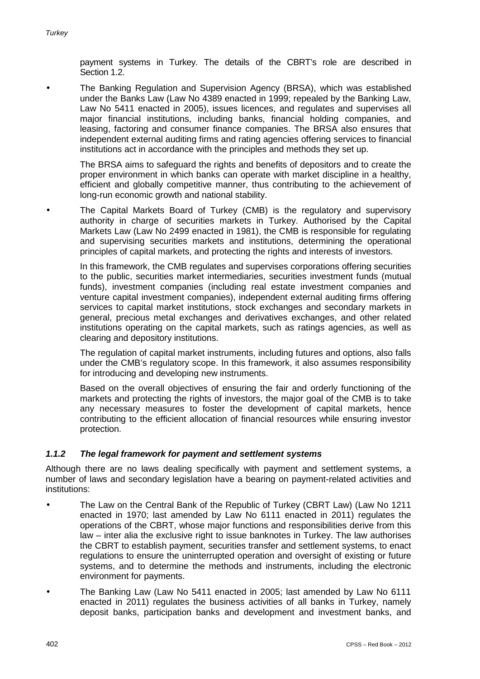payment systems in Turkey. The details of the CBRT's role are described in Section 1.2.

The Banking Regulation and Supervision Agency (BRSA), which was established under the Banks Law (Law No 4389 enacted in 1999; repealed by the Banking Law, Law No 5411 enacted in 2005), issues licences, and regulates and supervises all major financial institutions, including banks, financial holding companies, and leasing, factoring and consumer finance companies. The BRSA also ensures that independent external auditing firms and rating agencies offering services to financial institutions act in accordance with the principles and methods they set up.

The BRSA aims to safeguard the rights and benefits of depositors and to create the proper environment in which banks can operate with market discipline in a healthy, efficient and globally competitive manner, thus contributing to the achievement of long-run economic growth and national stability.

The Capital Markets Board of Turkey (CMB) is the regulatory and supervisory authority in charge of securities markets in Turkey. Authorised by the Capital Markets Law (Law No 2499 enacted in 1981), the CMB is responsible for regulating and supervising securities markets and institutions, determining the operational principles of capital markets, and protecting the rights and interests of investors.

In this framework, the CMB regulates and supervises corporations offering securities to the public, securities market intermediaries, securities investment funds (mutual funds), investment companies (including real estate investment companies and venture capital investment companies), independent external auditing firms offering services to capital market institutions, stock exchanges and secondary markets in general, precious metal exchanges and derivatives exchanges, and other related institutions operating on the capital markets, such as ratings agencies, as well as clearing and depository institutions.

The regulation of capital market instruments, including futures and options, also falls under the CMB's regulatory scope. In this framework, it also assumes responsibility for introducing and developing new instruments.

Based on the overall objectives of ensuring the fair and orderly functioning of the markets and protecting the rights of investors, the major goal of the CMB is to take any necessary measures to foster the development of capital markets, hence contributing to the efficient allocation of financial resources while ensuring investor protection.

#### *1.1.2 The legal framework for payment and settlement systems*

Although there are no laws dealing specifically with payment and settlement systems, a number of laws and secondary legislation have a bearing on payment-related activities and institutions:

- The Law on the Central Bank of the Republic of Turkey (CBRT Law) (Law No 1211 enacted in 1970; last amended by Law No 6111 enacted in 2011) regulates the operations of the CBRT, whose major functions and responsibilities derive from this law – inter alia the exclusive right to issue banknotes in Turkey. The law authorises the CBRT to establish payment, securities transfer and settlement systems, to enact regulations to ensure the uninterrupted operation and oversight of existing or future systems, and to determine the methods and instruments, including the electronic environment for payments.
- The Banking Law (Law No 5411 enacted in 2005; last amended by Law No 6111 enacted in 2011) regulates the business activities of all banks in Turkey, namely deposit banks, participation banks and development and investment banks, and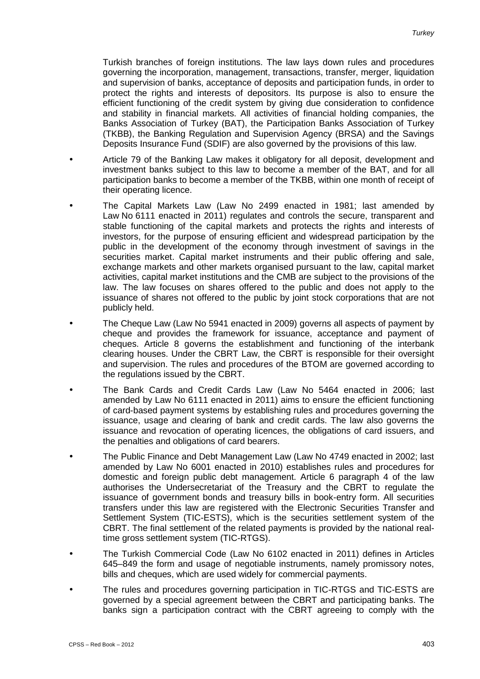Turkish branches of foreign institutions. The law lays down rules and procedures governing the incorporation, management, transactions, transfer, merger, liquidation and supervision of banks, acceptance of deposits and participation funds, in order to protect the rights and interests of depositors. Its purpose is also to ensure the efficient functioning of the credit system by giving due consideration to confidence and stability in financial markets. All activities of financial holding companies, the Banks Association of Turkey (BAT), the Participation Banks Association of Turkey (TKBB), the Banking Regulation and Supervision Agency (BRSA) and the Savings Deposits Insurance Fund (SDIF) are also governed by the provisions of this law.

- Article 79 of the Banking Law makes it obligatory for all deposit, development and investment banks subject to this law to become a member of the BAT, and for all participation banks to become a member of the TKBB, within one month of receipt of their operating licence.
- The Capital Markets Law (Law No 2499 enacted in 1981; last amended by Law No 6111 enacted in 2011) regulates and controls the secure, transparent and stable functioning of the capital markets and protects the rights and interests of investors, for the purpose of ensuring efficient and widespread participation by the public in the development of the economy through investment of savings in the securities market. Capital market instruments and their public offering and sale, exchange markets and other markets organised pursuant to the law, capital market activities, capital market institutions and the CMB are subject to the provisions of the law. The law focuses on shares offered to the public and does not apply to the issuance of shares not offered to the public by joint stock corporations that are not publicly held.
- The Cheque Law (Law No 5941 enacted in 2009) governs all aspects of payment by cheque and provides the framework for issuance, acceptance and payment of cheques. Article 8 governs the establishment and functioning of the interbank clearing houses. Under the CBRT Law, the CBRT is responsible for their oversight and supervision. The rules and procedures of the BTOM are governed according to the regulations issued by the CBRT.
- The Bank Cards and Credit Cards Law (Law No 5464 enacted in 2006; last amended by Law No 6111 enacted in 2011) aims to ensure the efficient functioning of card-based payment systems by establishing rules and procedures governing the issuance, usage and clearing of bank and credit cards. The law also governs the issuance and revocation of operating licences, the obligations of card issuers, and the penalties and obligations of card bearers.
- The Public Finance and Debt Management Law (Law No 4749 enacted in 2002; last amended by Law No 6001 enacted in 2010) establishes rules and procedures for domestic and foreign public debt management. Article 6 paragraph 4 of the law authorises the Undersecretariat of the Treasury and the CBRT to regulate the issuance of government bonds and treasury bills in book-entry form. All securities transfers under this law are registered with the Electronic Securities Transfer and Settlement System (TIC-ESTS), which is the securities settlement system of the CBRT. The final settlement of the related payments is provided by the national realtime gross settlement system (TIC-RTGS).
- The Turkish Commercial Code (Law No 6102 enacted in 2011) defines in Articles l. 645–849 the form and usage of negotiable instruments, namely promissory notes, bills and cheques, which are used widely for commercial payments.
- The rules and procedures governing participation in TIC-RTGS and TIC-ESTS are l, governed by a special agreement between the CBRT and participating banks. The banks sign a participation contract with the CBRT agreeing to comply with the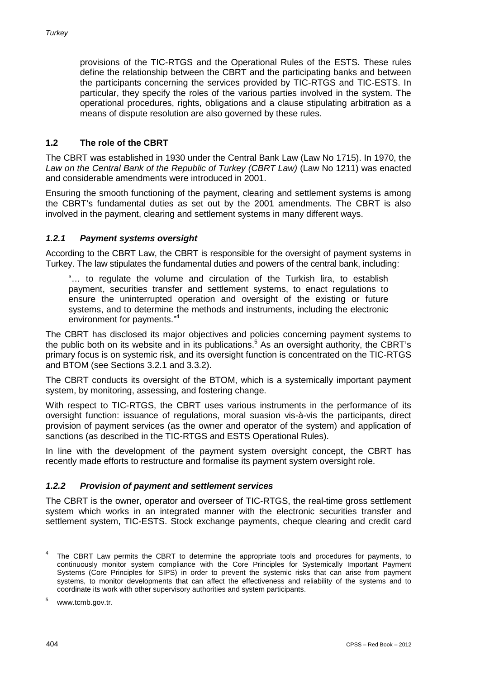provisions of the TIC-RTGS and the Operational Rules of the ESTS. These rules define the relationship between the CBRT and the participating banks and between the participants concerning the services provided by TIC-RTGS and TIC-ESTS. In particular, they specify the roles of the various parties involved in the system. The operational procedures, rights, obligations and a clause stipulating arbitration as a means of dispute resolution are also governed by these rules.

# **1.2 The role of the CBRT**

The CBRT was established in 1930 under the Central Bank Law (Law No 1715). In 1970, the *Law on the Central Bank of the Republic of Turkey (CBRT Law)* (Law No 1211) was enacted and considerable amendments were introduced in 2001.

Ensuring the smooth functioning of the payment, clearing and settlement systems is among the CBRT's fundamental duties as set out by the 2001 amendments. The CBRT is also involved in the payment, clearing and settlement systems in many different ways.

# *1.2.1 Payment systems oversight*

According to the CBRT Law, the CBRT is responsible for the oversight of payment systems in Turkey. The law stipulates the fundamental duties and powers of the central bank, including:

"… to regulate the volume and circulation of the Turkish lira, to establish payment, securities transfer and settlement systems, to enact regulations to ensure the uninterrupted operation and oversight of the existing or future systems, and to determine the methods and instruments, including the electronic environment for payments."4

The CBRT has disclosed its major objectives and policies concerning payment systems to the public both on its website and in its publications.<sup>5</sup> As an oversight authority, the CBRT's primary focus is on systemic risk, and its oversight function is concentrated on the TIC-RTGS and BTOM (see Sections 3.2.1 and 3.3.2).

The CBRT conducts its oversight of the BTOM, which is a systemically important payment system, by monitoring, assessing, and fostering change.

With respect to TIC-RTGS, the CBRT uses various instruments in the performance of its oversight function: issuance of regulations, moral suasion vis-à-vis the participants, direct provision of payment services (as the owner and operator of the system) and application of sanctions (as described in the TIC-RTGS and ESTS Operational Rules).

In line with the development of the payment system oversight concept, the CBRT has recently made efforts to restructure and formalise its payment system oversight role.

#### *1.2.2 Provision of payment and settlement services*

The CBRT is the owner, operator and overseer of TIC-RTGS, the real-time gross settlement system which works in an integrated manner with the electronic securities transfer and settlement system, TIC-ESTS. Stock exchange payments, cheque clearing and credit card

<sup>&</sup>lt;sup>4</sup> The CBRT Law permits the CBRT to determine the appropriate tools and procedures for payments, to continuously monitor system compliance with the Core Principles for Systemically Important Payment Systems (Core Principles for SIPS) in order to prevent the systemic risks that can arise from payment systems, to monitor developments that can affect the effectiveness and reliability of the systems and to coordinate its work with other supervisory authorities and system participants.

<sup>5</sup> www.tcmb.gov.tr.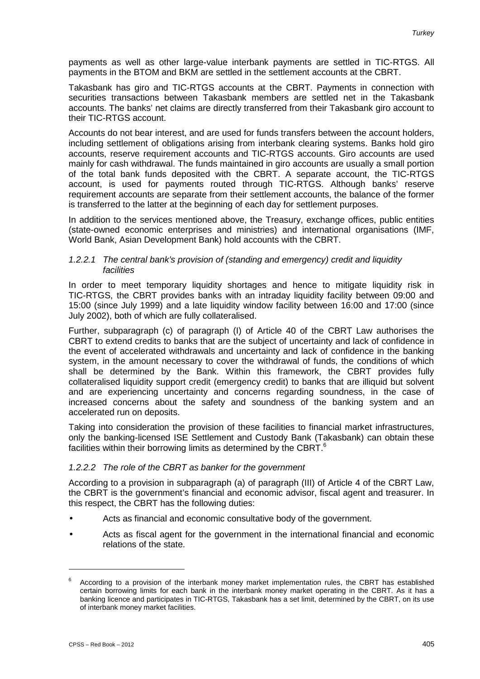payments as well as other large-value interbank payments are settled in TIC-RTGS. All payments in the BTOM and BKM are settled in the settlement accounts at the CBRT.

Takasbank has giro and TIC-RTGS accounts at the CBRT. Payments in connection with securities transactions between Takasbank members are settled net in the Takasbank accounts. The banks' net claims are directly transferred from their Takasbank giro account to their TIC-RTGS account.

Accounts do not bear interest, and are used for funds transfers between the account holders, including settlement of obligations arising from interbank clearing systems. Banks hold giro accounts, reserve requirement accounts and TIC-RTGS accounts. Giro accounts are used mainly for cash withdrawal. The funds maintained in giro accounts are usually a small portion of the total bank funds deposited with the CBRT. A separate account, the TIC-RTGS account, is used for payments routed through TIC-RTGS. Although banks' reserve requirement accounts are separate from their settlement accounts, the balance of the former is transferred to the latter at the beginning of each day for settlement purposes.

In addition to the services mentioned above, the Treasury, exchange offices, public entities (state-owned economic enterprises and ministries) and international organisations (IMF, World Bank, Asian Development Bank) hold accounts with the CBRT.

#### *1.2.2.1 The central bank's provision of (standing and emergency) credit and liquidity facilities*

In order to meet temporary liquidity shortages and hence to mitigate liquidity risk in TIC-RTGS, the CBRT provides banks with an intraday liquidity facility between 09:00 and 15:00 (since July 1999) and a late liquidity window facility between 16:00 and 17:00 (since July 2002), both of which are fully collateralised.

Further, subparagraph (c) of paragraph (I) of Article 40 of the CBRT Law authorises the CBRT to extend credits to banks that are the subject of uncertainty and lack of confidence in the event of accelerated withdrawals and uncertainty and lack of confidence in the banking system, in the amount necessary to cover the withdrawal of funds, the conditions of which shall be determined by the Bank. Within this framework, the CBRT provides fully collateralised liquidity support credit (emergency credit) to banks that are illiquid but solvent and are experiencing uncertainty and concerns regarding soundness, in the case of increased concerns about the safety and soundness of the banking system and an accelerated run on deposits.

Taking into consideration the provision of these facilities to financial market infrastructures, only the banking-licensed ISE Settlement and Custody Bank (Takasbank) can obtain these facilities within their borrowing limits as determined by the CBRT.<sup>6</sup>

#### *1.2.2.2 The role of the CBRT as banker for the government*

According to a provision in subparagraph (a) of paragraph (III) of Article 4 of the CBRT Law, the CBRT is the government's financial and economic advisor, fiscal agent and treasurer. In this respect, the CBRT has the following duties:

- Acts as financial and economic consultative body of the government.
- Acts as fiscal agent for the government in the international financial and economic relations of the state.

<sup>6</sup> According to a provision of the interbank money market implementation rules, the CBRT has established certain borrowing limits for each bank in the interbank money market operating in the CBRT. As it has a banking licence and participates in TIC-RTGS, Takasbank has a set limit, determined by the CBRT, on its use of interbank money market facilities.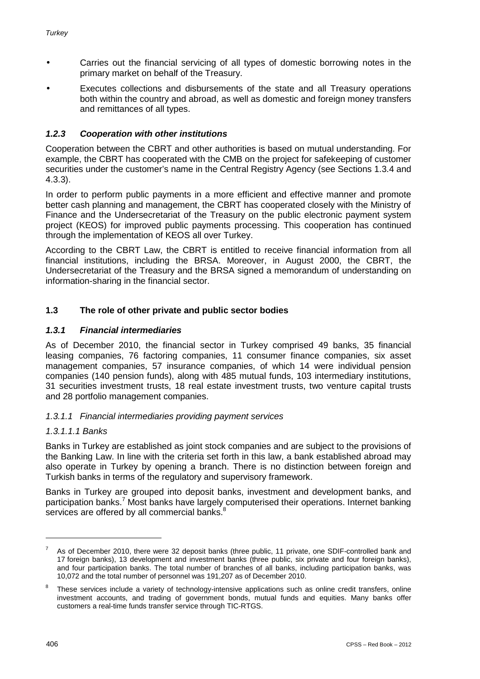- Carries out the financial servicing of all types of domestic borrowing notes in the primary market on behalf of the Treasury.
- Executes collections and disbursements of the state and all Treasury operations both within the country and abroad, as well as domestic and foreign money transfers and remittances of all types.

# *1.2.3 Cooperation with other institutions*

Cooperation between the CBRT and other authorities is based on mutual understanding. For example, the CBRT has cooperated with the CMB on the project for safekeeping of customer securities under the customer's name in the Central Registry Agency (see Sections 1.3.4 and 4.3.3).

In order to perform public payments in a more efficient and effective manner and promote better cash planning and management, the CBRT has cooperated closely with the Ministry of Finance and the Undersecretariat of the Treasury on the public electronic payment system project (KEOS) for improved public payments processing. This cooperation has continued through the implementation of KEOS all over Turkey.

According to the CBRT Law, the CBRT is entitled to receive financial information from all financial institutions, including the BRSA. Moreover, in August 2000, the CBRT, the Undersecretariat of the Treasury and the BRSA signed a memorandum of understanding on information-sharing in the financial sector.

# **1.3 The role of other private and public sector bodies**

# *1.3.1 Financial intermediaries*

As of December 2010, the financial sector in Turkey comprised 49 banks, 35 financial leasing companies, 76 factoring companies, 11 consumer finance companies, six asset management companies, 57 insurance companies, of which 14 were individual pension companies (140 pension funds), along with 485 mutual funds, 103 intermediary institutions, 31 securities investment trusts, 18 real estate investment trusts, two venture capital trusts and 28 portfolio management companies.

#### *1.3.1.1 Financial intermediaries providing payment services*

#### *1.3.1.1.1 Banks*

Banks in Turkey are established as joint stock companies and are subject to the provisions of the Banking Law. In line with the criteria set forth in this law, a bank established abroad may also operate in Turkey by opening a branch. There is no distinction between foreign and Turkish banks in terms of the regulatory and supervisory framework.

Banks in Turkey are grouped into deposit banks, investment and development banks, and participation banks.<sup>7</sup> Most banks have largely computerised their operations. Internet banking services are offered by all commercial banks.<sup>8</sup>

As of December 2010, there were 32 deposit banks (three public, 11 private, one SDIF-controlled bank and 17 foreign banks), 13 development and investment banks (three public, six private and four foreign banks), and four participation banks. The total number of branches of all banks, including participation banks, was 10,072 and the total number of personnel was 191,207 as of December 2010.

These services include a variety of technology-intensive applications such as online credit transfers, online investment accounts, and trading of government bonds, mutual funds and equities. Many banks offer customers a real-time funds transfer service through TIC-RTGS.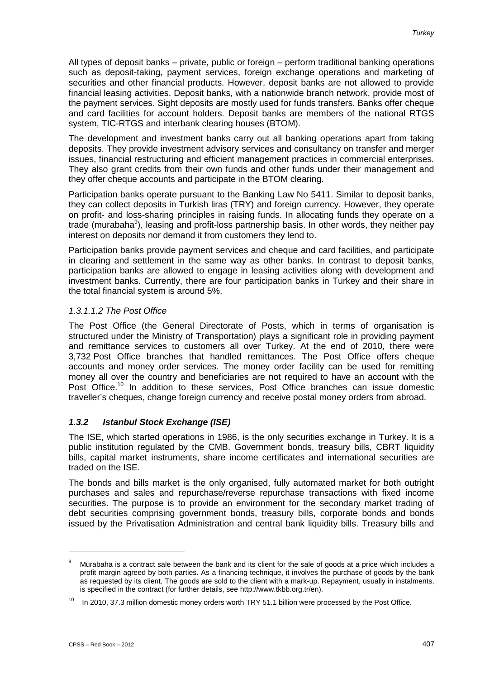All types of deposit banks – private, public or foreign – perform traditional banking operations such as deposit-taking, payment services, foreign exchange operations and marketing of securities and other financial products. However, deposit banks are not allowed to provide financial leasing activities. Deposit banks, with a nationwide branch network, provide most of the payment services. Sight deposits are mostly used for funds transfers. Banks offer cheque and card facilities for account holders. Deposit banks are members of the national RTGS system, TIC-RTGS and interbank clearing houses (BTOM).

The development and investment banks carry out all banking operations apart from taking deposits. They provide investment advisory services and consultancy on transfer and merger issues, financial restructuring and efficient management practices in commercial enterprises. They also grant credits from their own funds and other funds under their management and they offer cheque accounts and participate in the BTOM clearing.

Participation banks operate pursuant to the Banking Law No 5411. Similar to deposit banks, they can collect deposits in Turkish liras (TRY) and foreign currency. However, they operate on profit- and loss-sharing principles in raising funds. In allocating funds they operate on a trade (murabaha<sup>9</sup>), leasing and profit-loss partnership basis. In other words, they neither pay interest on deposits nor demand it from customers they lend to.

Participation banks provide payment services and cheque and card facilities, and participate in clearing and settlement in the same way as other banks. In contrast to deposit banks, participation banks are allowed to engage in leasing activities along with development and investment banks. Currently, there are four participation banks in Turkey and their share in the total financial system is around 5%.

#### *1.3.1.1.2 The Post Office*

The Post Office (the General Directorate of Posts, which in terms of organisation is structured under the Ministry of Transportation) plays a significant role in providing payment and remittance services to customers all over Turkey. At the end of 2010, there were 3,732 Post Office branches that handled remittances. The Post Office offers cheque accounts and money order services. The money order facility can be used for remitting money all over the country and beneficiaries are not required to have an account with the Post Office.<sup>10</sup> In addition to these services, Post Office branches can issue domestic traveller's cheques, change foreign currency and receive postal money orders from abroad.

#### *1.3.2 Istanbul Stock Exchange (ISE)*

The ISE, which started operations in 1986, is the only securities exchange in Turkey. It is a public institution regulated by the CMB. Government bonds, treasury bills, CBRT liquidity bills, capital market instruments, share income certificates and international securities are traded on the ISE.

The bonds and bills market is the only organised, fully automated market for both outright purchases and sales and repurchase/reverse repurchase transactions with fixed income securities. The purpose is to provide an environment for the secondary market trading of debt securities comprising government bonds, treasury bills, corporate bonds and bonds issued by the Privatisation Administration and central bank liquidity bills. Treasury bills and

<sup>&</sup>lt;sup>9</sup> Murabaha is a contract sale between the bank and its client for the sale of goods at a price which includes a profit margin agreed by both parties. As a financing technique, it involves the purchase of goods by the bank as requested by its client. The goods are sold to the client with a mark-up. Repayment, usually in instalments, is specified in the contract (for further details, see http://www.tkbb.org.tr/en).

<sup>&</sup>lt;sup>10</sup> In 2010, 37.3 million domestic money orders worth TRY 51.1 billion were processed by the Post Office.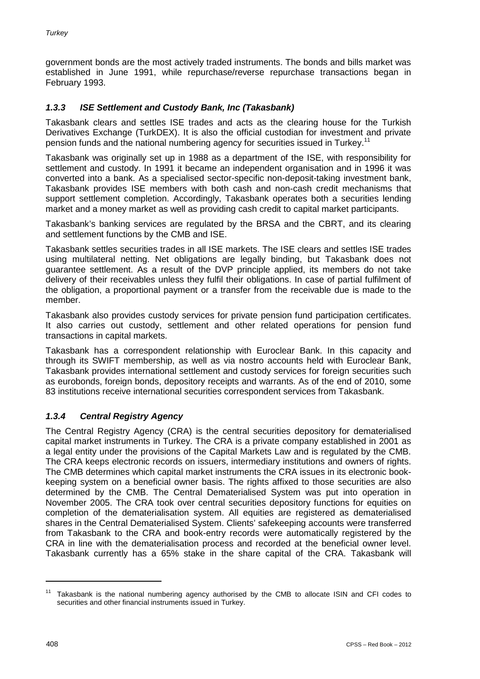government bonds are the most actively traded instruments. The bonds and bills market was established in June 1991, while repurchase/reverse repurchase transactions began in February 1993.

# *1.3.3 ISE Settlement and Custody Bank, Inc (Takasbank)*

Takasbank clears and settles ISE trades and acts as the clearing house for the Turkish Derivatives Exchange (TurkDEX). It is also the official custodian for investment and private pension funds and the national numbering agency for securities issued in Turkey.<sup>11</sup>

Takasbank was originally set up in 1988 as a department of the ISE, with responsibility for settlement and custody. In 1991 it became an independent organisation and in 1996 it was converted into a bank. As a specialised sector-specific non-deposit-taking investment bank, Takasbank provides ISE members with both cash and non-cash credit mechanisms that support settlement completion. Accordingly, Takasbank operates both a securities lending market and a money market as well as providing cash credit to capital market participants.

Takasbank's banking services are regulated by the BRSA and the CBRT, and its clearing and settlement functions by the CMB and ISE.

Takasbank settles securities trades in all ISE markets. The ISE clears and settles ISE trades using multilateral netting. Net obligations are legally binding, but Takasbank does not guarantee settlement. As a result of the DVP principle applied, its members do not take delivery of their receivables unless they fulfil their obligations. In case of partial fulfilment of the obligation, a proportional payment or a transfer from the receivable due is made to the member.

Takasbank also provides custody services for private pension fund participation certificates. It also carries out custody, settlement and other related operations for pension fund transactions in capital markets.

Takasbank has a correspondent relationship with Euroclear Bank. In this capacity and through its SWIFT membership, as well as via nostro accounts held with Euroclear Bank, Takasbank provides international settlement and custody services for foreign securities such as eurobonds, foreign bonds, depository receipts and warrants. As of the end of 2010, some 83 institutions receive international securities correspondent services from Takasbank.

# *1.3.4 Central Registry Agency*

The Central Registry Agency (CRA) is the central securities depository for dematerialised capital market instruments in Turkey. The CRA is a private company established in 2001 as a legal entity under the provisions of the Capital Markets Law and is regulated by the CMB. The CRA keeps electronic records on issuers, intermediary institutions and owners of rights. The CMB determines which capital market instruments the CRA issues in its electronic bookkeeping system on a beneficial owner basis. The rights affixed to those securities are also determined by the CMB. The Central Dematerialised System was put into operation in November 2005. The CRA took over central securities depository functions for equities on completion of the dematerialisation system. All equities are registered as dematerialised shares in the Central Dematerialised System. Clients' safekeeping accounts were transferred from Takasbank to the CRA and book-entry records were automatically registered by the CRA in line with the dematerialisation process and recorded at the beneficial owner level. Takasbank currently has a 65% stake in the share capital of the CRA. Takasbank will

 $\overline{a}$ 

<sup>&</sup>lt;sup>11</sup> Takasbank is the national numbering agency authorised by the CMB to allocate ISIN and CFI codes to securities and other financial instruments issued in Turkey.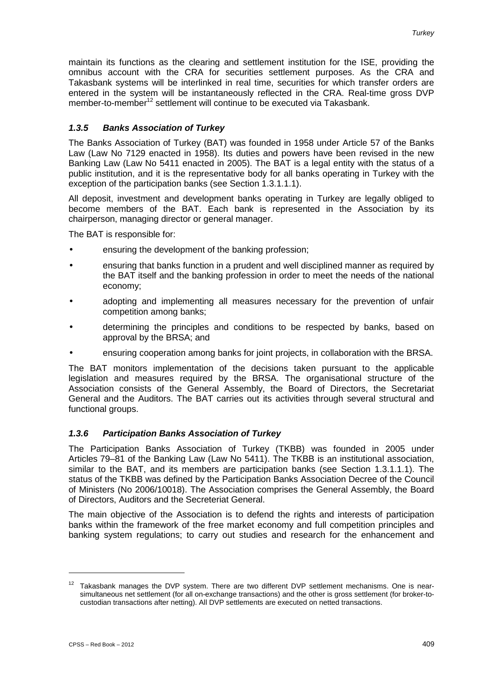maintain its functions as the clearing and settlement institution for the ISE, providing the omnibus account with the CRA for securities settlement purposes. As the CRA and Takasbank systems will be interlinked in real time, securities for which transfer orders are entered in the system will be instantaneously reflected in the CRA. Real-time gross DVP member-to-member<sup>12</sup> settlement will continue to be executed via Takasbank.

# *1.3.5 Banks Association of Turkey*

The Banks Association of Turkey (BAT) was founded in 1958 under Article 57 of the Banks Law (Law No 7129 enacted in 1958). Its duties and powers have been revised in the new Banking Law (Law No 5411 enacted in 2005). The BAT is a legal entity with the status of a public institution, and it is the representative body for all banks operating in Turkey with the exception of the participation banks (see Section 1.3.1.1.1).

All deposit, investment and development banks operating in Turkey are legally obliged to become members of the BAT. Each bank is represented in the Association by its chairperson, managing director or general manager.

The BAT is responsible for:

- ensuring the development of the banking profession;
- ensuring that banks function in a prudent and well disciplined manner as required by the BAT itself and the banking profession in order to meet the needs of the national economy;
- adopting and implementing all measures necessary for the prevention of unfair competition among banks;
- determining the principles and conditions to be respected by banks, based on  $\overline{a}$ approval by the BRSA; and
- ensuring cooperation among banks for joint projects, in collaboration with the BRSA.

The BAT monitors implementation of the decisions taken pursuant to the applicable legislation and measures required by the BRSA. The organisational structure of the Association consists of the General Assembly, the Board of Directors, the Secretariat General and the Auditors. The BAT carries out its activities through several structural and functional groups.

# *1.3.6 Participation Banks Association of Turkey*

The Participation Banks Association of Turkey (TKBB) was founded in 2005 under Articles 79–81 of the Banking Law (Law No 5411). The TKBB is an institutional association, similar to the BAT, and its members are participation banks (see Section 1.3.1.1.1). The status of the TKBB was defined by the Participation Banks Association Decree of the Council of Ministers (No 2006/10018). The Association comprises the General Assembly, the Board of Directors, Auditors and the Secreteriat General.

The main objective of the Association is to defend the rights and interests of participation banks within the framework of the free market economy and full competition principles and banking system regulations; to carry out studies and research for the enhancement and

 $12$  Takasbank manages the DVP system. There are two different DVP settlement mechanisms. One is nearsimultaneous net settlement (for all on-exchange transactions) and the other is gross settlement (for broker-tocustodian transactions after netting). All DVP settlements are executed on netted transactions.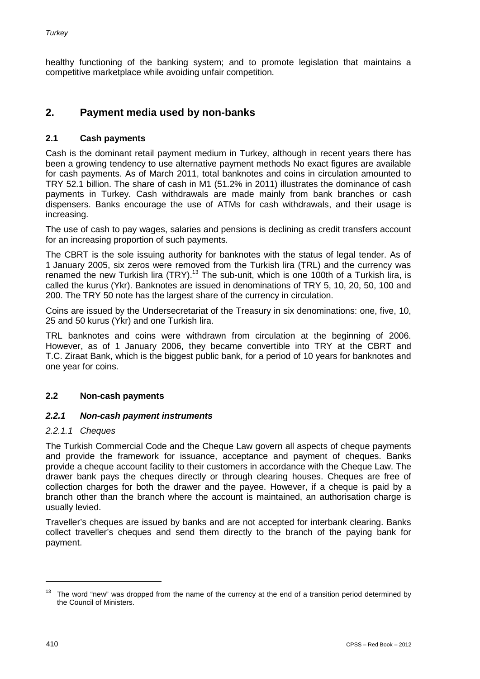healthy functioning of the banking system; and to promote legislation that maintains a competitive marketplace while avoiding unfair competition.

# **2. Payment media used by non-banks**

# **2.1 Cash payments**

Cash is the dominant retail payment medium in Turkey, although in recent years there has been a growing tendency to use alternative payment methods No exact figures are available for cash payments. As of March 2011, total banknotes and coins in circulation amounted to TRY 52.1 billion. The share of cash in M1 (51.2% in 2011) illustrates the dominance of cash payments in Turkey. Cash withdrawals are made mainly from bank branches or cash dispensers. Banks encourage the use of ATMs for cash withdrawals, and their usage is increasing.

The use of cash to pay wages, salaries and pensions is declining as credit transfers account for an increasing proportion of such payments.

The CBRT is the sole issuing authority for banknotes with the status of legal tender. As of 1 January 2005, six zeros were removed from the Turkish lira (TRL) and the currency was renamed the new Turkish lira  $(TRY)$ .<sup>13</sup> The sub-unit, which is one 100th of a Turkish lira, is called the kurus (Ykr). Banknotes are issued in denominations of TRY 5, 10, 20, 50, 100 and 200. The TRY 50 note has the largest share of the currency in circulation.

Coins are issued by the Undersecretariat of the Treasury in six denominations: one, five, 10, 25 and 50 kurus (Ykr) and one Turkish lira.

TRL banknotes and coins were withdrawn from circulation at the beginning of 2006. However, as of 1 January 2006, they became convertible into TRY at the CBRT and T.C. Ziraat Bank, which is the biggest public bank, for a period of 10 years for banknotes and one year for coins.

#### **2.2 Non-cash payments**

#### *2.2.1 Non-cash payment instruments*

#### *2.2.1.1 Cheques*

The Turkish Commercial Code and the Cheque Law govern all aspects of cheque payments and provide the framework for issuance, acceptance and payment of cheques. Banks provide a cheque account facility to their customers in accordance with the Cheque Law. The drawer bank pays the cheques directly or through clearing houses. Cheques are free of collection charges for both the drawer and the payee. However, if a cheque is paid by a branch other than the branch where the account is maintained, an authorisation charge is usually levied.

Traveller's cheques are issued by banks and are not accepted for interbank clearing. Banks collect traveller's cheques and send them directly to the branch of the paying bank for payment.

 $13$  The word "new" was dropped from the name of the currency at the end of a transition period determined by the Council of Ministers.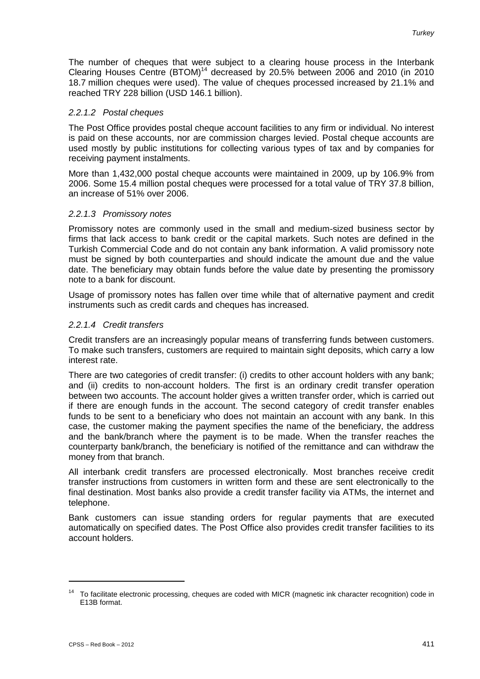The number of cheques that were subject to a clearing house process in the Interbank Clearing Houses Centre (BTOM)<sup>14</sup> decreased by 20.5% between 2006 and 2010 (in 2010 18.7 million cheques were used). The value of cheques processed increased by 21.1% and reached TRY 228 billion (USD 146.1 billion).

#### *2.2.1.2 Postal cheques*

The Post Office provides postal cheque account facilities to any firm or individual. No interest is paid on these accounts, nor are commission charges levied. Postal cheque accounts are used mostly by public institutions for collecting various types of tax and by companies for receiving payment instalments.

More than 1,432,000 postal cheque accounts were maintained in 2009, up by 106.9% from 2006. Some 15.4 million postal cheques were processed for a total value of TRY 37.8 billion, an increase of 51% over 2006.

# *2.2.1.3 Promissory notes*

Promissory notes are commonly used in the small and medium-sized business sector by firms that lack access to bank credit or the capital markets. Such notes are defined in the Turkish Commercial Code and do not contain any bank information. A valid promissory note must be signed by both counterparties and should indicate the amount due and the value date. The beneficiary may obtain funds before the value date by presenting the promissory note to a bank for discount.

Usage of promissory notes has fallen over time while that of alternative payment and credit instruments such as credit cards and cheques has increased.

# *2.2.1.4 Credit transfers*

Credit transfers are an increasingly popular means of transferring funds between customers. To make such transfers, customers are required to maintain sight deposits, which carry a low interest rate.

There are two categories of credit transfer: (i) credits to other account holders with any bank; and (ii) credits to non-account holders. The first is an ordinary credit transfer operation between two accounts. The account holder gives a written transfer order, which is carried out if there are enough funds in the account. The second category of credit transfer enables funds to be sent to a beneficiary who does not maintain an account with any bank. In this case, the customer making the payment specifies the name of the beneficiary, the address and the bank/branch where the payment is to be made. When the transfer reaches the counterparty bank/branch, the beneficiary is notified of the remittance and can withdraw the money from that branch.

All interbank credit transfers are processed electronically. Most branches receive credit transfer instructions from customers in written form and these are sent electronically to the final destination. Most banks also provide a credit transfer facility via ATMs, the internet and telephone.

Bank customers can issue standing orders for regular payments that are executed automatically on specified dates. The Post Office also provides credit transfer facilities to its account holders.

<u>.</u>

 $14$  To facilitate electronic processing, cheques are coded with MICR (magnetic ink character recognition) code in E13B format.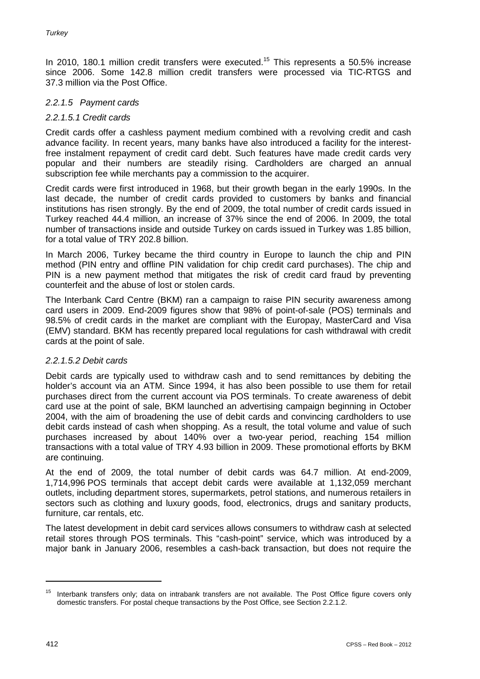In 2010, 180.1 million credit transfers were executed.<sup>15</sup> This represents a 50.5% increase since 2006. Some 142.8 million credit transfers were processed via TIC-RTGS and 37.3 million via the Post Office.

#### *2.2.1.5 Payment cards*

#### *2.2.1.5.1 Credit cards*

Credit cards offer a cashless payment medium combined with a revolving credit and cash advance facility. In recent years, many banks have also introduced a facility for the interestfree instalment repayment of credit card debt. Such features have made credit cards very popular and their numbers are steadily rising. Cardholders are charged an annual subscription fee while merchants pay a commission to the acquirer.

Credit cards were first introduced in 1968, but their growth began in the early 1990s. In the last decade, the number of credit cards provided to customers by banks and financial institutions has risen strongly. By the end of 2009, the total number of credit cards issued in Turkey reached 44.4 million, an increase of 37% since the end of 2006. In 2009, the total number of transactions inside and outside Turkey on cards issued in Turkey was 1.85 billion, for a total value of TRY 202.8 billion.

In March 2006, Turkey became the third country in Europe to launch the chip and PIN method (PIN entry and offline PIN validation for chip credit card purchases). The chip and PIN is a new payment method that mitigates the risk of credit card fraud by preventing counterfeit and the abuse of lost or stolen cards.

The Interbank Card Centre (BKM) ran a campaign to raise PIN security awareness among card users in 2009. End-2009 figures show that 98% of point-of-sale (POS) terminals and 98.5% of credit cards in the market are compliant with the Europay, MasterCard and Visa (EMV) standard. BKM has recently prepared local regulations for cash withdrawal with credit cards at the point of sale.

#### *2.2.1.5.2 Debit cards*

Debit cards are typically used to withdraw cash and to send remittances by debiting the holder's account via an ATM. Since 1994, it has also been possible to use them for retail purchases direct from the current account via POS terminals. To create awareness of debit card use at the point of sale, BKM launched an advertising campaign beginning in October 2004, with the aim of broadening the use of debit cards and convincing cardholders to use debit cards instead of cash when shopping. As a result, the total volume and value of such purchases increased by about 140% over a two-year period, reaching 154 million transactions with a total value of TRY 4.93 billion in 2009. These promotional efforts by BKM are continuing.

At the end of 2009, the total number of debit cards was 64.7 million. At end-2009, 1,714,996 POS terminals that accept debit cards were available at 1,132,059 merchant outlets, including department stores, supermarkets, petrol stations, and numerous retailers in sectors such as clothing and luxury goods, food, electronics, drugs and sanitary products, furniture, car rentals, etc.

The latest development in debit card services allows consumers to withdraw cash at selected retail stores through POS terminals. This "cash-point" service, which was introduced by a major bank in January 2006, resembles a cash-back transaction, but does not require the

<sup>&</sup>lt;sup>15</sup> Interbank transfers only; data on intrabank transfers are not available. The Post Office figure covers only domestic transfers. For postal cheque transactions by the Post Office, see Section 2.2.1.2.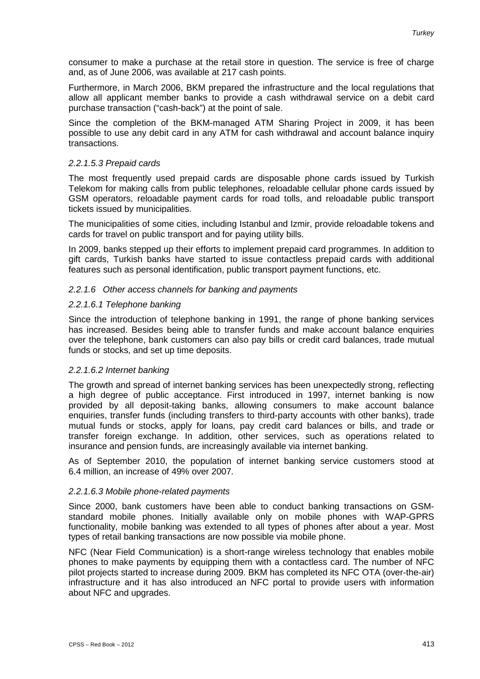consumer to make a purchase at the retail store in question. The service is free of charge and, as of June 2006, was available at 217 cash points.

Furthermore, in March 2006, BKM prepared the infrastructure and the local regulations that allow all applicant member banks to provide a cash withdrawal service on a debit card purchase transaction ("cash-back") at the point of sale.

Since the completion of the BKM-managed ATM Sharing Project in 2009, it has been possible to use any debit card in any ATM for cash withdrawal and account balance inquiry transactions.

#### *2.2.1.5.3 Prepaid cards*

The most frequently used prepaid cards are disposable phone cards issued by Turkish Telekom for making calls from public telephones, reloadable cellular phone cards issued by GSM operators, reloadable payment cards for road tolls, and reloadable public transport tickets issued by municipalities.

The municipalities of some cities, including Istanbul and Izmir, provide reloadable tokens and cards for travel on public transport and for paying utility bills.

In 2009, banks stepped up their efforts to implement prepaid card programmes. In addition to gift cards, Turkish banks have started to issue contactless prepaid cards with additional features such as personal identification, public transport payment functions, etc.

#### *2.2.1.6 Other access channels for banking and payments*

#### *2.2.1.6.1 Telephone banking*

Since the introduction of telephone banking in 1991, the range of phone banking services has increased. Besides being able to transfer funds and make account balance enquiries over the telephone, bank customers can also pay bills or credit card balances, trade mutual funds or stocks, and set up time deposits.

#### *2.2.1.6.2 Internet banking*

The growth and spread of internet banking services has been unexpectedly strong, reflecting a high degree of public acceptance. First introduced in 1997, internet banking is now provided by all deposit-taking banks, allowing consumers to make account balance enquiries, transfer funds (including transfers to third-party accounts with other banks), trade mutual funds or stocks, apply for loans, pay credit card balances or bills, and trade or transfer foreign exchange. In addition, other services, such as operations related to insurance and pension funds, are increasingly available via internet banking.

As of September 2010, the population of internet banking service customers stood at 6.4 million, an increase of 49% over 2007.

#### *2.2.1.6.3 Mobile phone-related payments*

Since 2000, bank customers have been able to conduct banking transactions on GSMstandard mobile phones. Initially available only on mobile phones with WAP-GPRS functionality, mobile banking was extended to all types of phones after about a year. Most types of retail banking transactions are now possible via mobile phone.

NFC (Near Field Communication) is a short-range wireless technology that enables mobile phones to make payments by equipping them with a contactless card. The number of NFC pilot projects started to increase during 2009. BKM has completed its NFC OTA (over-the-air) infrastructure and it has also introduced an NFC portal to provide users with information about NFC and upgrades.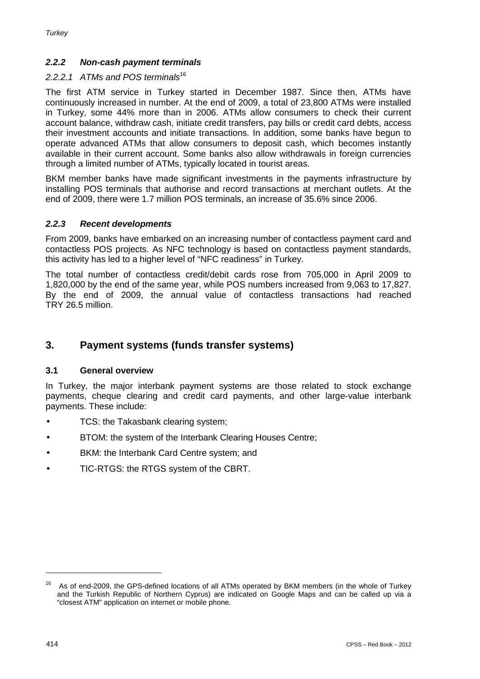# *2.2.2 Non-cash payment terminals*

# *2.2.2.1 ATMs and POS terminals*<sup>16</sup>

The first ATM service in Turkey started in December 1987. Since then, ATMs have continuously increased in number. At the end of 2009, a total of 23,800 ATMs were installed in Turkey, some 44% more than in 2006. ATMs allow consumers to check their current account balance, withdraw cash, initiate credit transfers, pay bills or credit card debts, access their investment accounts and initiate transactions. In addition, some banks have begun to operate advanced ATMs that allow consumers to deposit cash, which becomes instantly available in their current account. Some banks also allow withdrawals in foreign currencies through a limited number of ATMs, typically located in tourist areas.

BKM member banks have made significant investments in the payments infrastructure by installing POS terminals that authorise and record transactions at merchant outlets. At the end of 2009, there were 1.7 million POS terminals, an increase of 35.6% since 2006.

# *2.2.3 Recent developments*

From 2009, banks have embarked on an increasing number of contactless payment card and contactless POS projects. As NFC technology is based on contactless payment standards, this activity has led to a higher level of "NFC readiness" in Turkey.

The total number of contactless credit/debit cards rose from 705,000 in April 2009 to 1,820,000 by the end of the same year, while POS numbers increased from 9,063 to 17,827. By the end of 2009, the annual value of contactless transactions had reached TRY 26.5 million.

# **3. Payment systems (funds transfer systems)**

# **3.1 General overview**

In Turkey, the major interbank payment systems are those related to stock exchange payments, cheque clearing and credit card payments, and other large-value interbank payments. These include:

- TCS: the Takasbank clearing system; J.
- BTOM: the system of the Interbank Clearing Houses Centre;
- BKM: the Interbank Card Centre system; and
- TIC-RTGS: the RTGS system of the CBRT.

<sup>&</sup>lt;sup>16</sup> As of end-2009, the GPS-defined locations of all ATMs operated by BKM members (in the whole of Turkey and the Turkish Republic of Northern Cyprus) are indicated on Google Maps and can be called up via a "closest ATM" application on internet or mobile phone.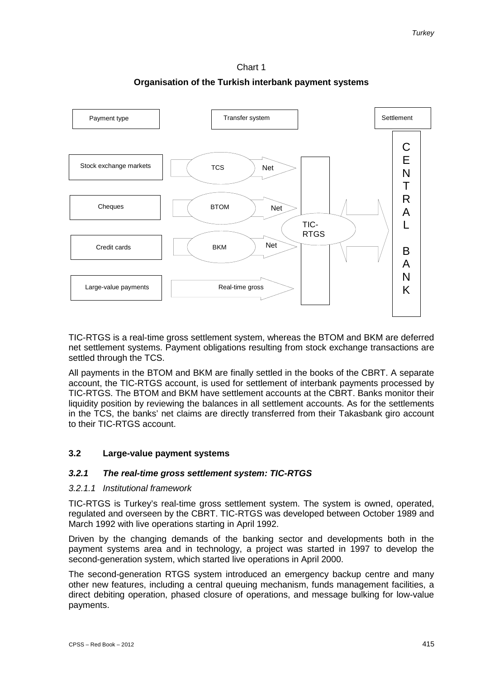#### Chart 1





TIC-RTGS is a real-time gross settlement system, whereas the BTOM and BKM are deferred net settlement systems. Payment obligations resulting from stock exchange transactions are settled through the TCS.

All payments in the BTOM and BKM are finally settled in the books of the CBRT. A separate account, the TIC-RTGS account, is used for settlement of interbank payments processed by TIC-RTGS. The BTOM and BKM have settlement accounts at the CBRT. Banks monitor their liquidity position by reviewing the balances in all settlement accounts. As for the settlements in the TCS, the banks' net claims are directly transferred from their Takasbank giro account to their TIC-RTGS account.

#### **3.2 Large-value payment systems**

#### *3.2.1 The real-time gross settlement system: TIC-RTGS*

#### *3.2.1.1 Institutional framework*

TIC-RTGS is Turkey's real-time gross settlement system. The system is owned, operated, regulated and overseen by the CBRT. TIC-RTGS was developed between October 1989 and March 1992 with live operations starting in April 1992.

Driven by the changing demands of the banking sector and developments both in the payment systems area and in technology, a project was started in 1997 to develop the second-generation system, which started live operations in April 2000.

The second-generation RTGS system introduced an emergency backup centre and many other new features, including a central queuing mechanism, funds management facilities, a direct debiting operation, phased closure of operations, and message bulking for low-value payments.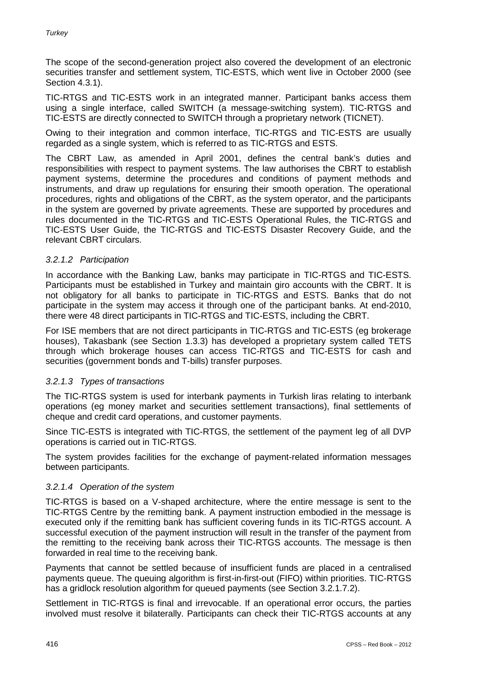The scope of the second-generation project also covered the development of an electronic securities transfer and settlement system, TIC-ESTS, which went live in October 2000 (see Section 4.3.1).

TIC-RTGS and TIC-ESTS work in an integrated manner. Participant banks access them using a single interface, called SWITCH (a message-switching system). TIC-RTGS and TIC-ESTS are directly connected to SWITCH through a proprietary network (TICNET).

Owing to their integration and common interface, TIC-RTGS and TIC-ESTS are usually regarded as a single system, which is referred to as TIC-RTGS and ESTS.

The CBRT Law, as amended in April 2001, defines the central bank's duties and responsibilities with respect to payment systems. The law authorises the CBRT to establish payment systems, determine the procedures and conditions of payment methods and instruments, and draw up regulations for ensuring their smooth operation. The operational procedures, rights and obligations of the CBRT, as the system operator, and the participants in the system are governed by private agreements. These are supported by procedures and rules documented in the TIC-RTGS and TIC-ESTS Operational Rules, the TIC-RTGS and TIC-ESTS User Guide, the TIC-RTGS and TIC-ESTS Disaster Recovery Guide, and the relevant CBRT circulars.

# *3.2.1.2 Participation*

In accordance with the Banking Law, banks may participate in TIC-RTGS and TIC-ESTS. Participants must be established in Turkey and maintain giro accounts with the CBRT. It is not obligatory for all banks to participate in TIC-RTGS and ESTS. Banks that do not participate in the system may access it through one of the participant banks. At end-2010, there were 48 direct participants in TIC-RTGS and TIC-ESTS, including the CBRT.

For ISE members that are not direct participants in TIC-RTGS and TIC-ESTS (eg brokerage houses), Takasbank (see Section 1.3.3) has developed a proprietary system called TETS through which brokerage houses can access TIC-RTGS and TIC-ESTS for cash and securities (government bonds and T-bills) transfer purposes.

#### *3.2.1.3 Types of transactions*

The TIC-RTGS system is used for interbank payments in Turkish liras relating to interbank operations (eg money market and securities settlement transactions), final settlements of cheque and credit card operations, and customer payments.

Since TIC-ESTS is integrated with TIC-RTGS, the settlement of the payment leg of all DVP operations is carried out in TIC-RTGS.

The system provides facilities for the exchange of payment-related information messages between participants.

#### *3.2.1.4 Operation of the system*

TIC-RTGS is based on a V-shaped architecture, where the entire message is sent to the TIC-RTGS Centre by the remitting bank. A payment instruction embodied in the message is executed only if the remitting bank has sufficient covering funds in its TIC-RTGS account. A successful execution of the payment instruction will result in the transfer of the payment from the remitting to the receiving bank across their TIC-RTGS accounts. The message is then forwarded in real time to the receiving bank.

Payments that cannot be settled because of insufficient funds are placed in a centralised payments queue. The queuing algorithm is first-in-first-out (FIFO) within priorities. TIC-RTGS has a gridlock resolution algorithm for queued payments (see Section 3.2.1.7.2).

Settlement in TIC-RTGS is final and irrevocable. If an operational error occurs, the parties involved must resolve it bilaterally. Participants can check their TIC-RTGS accounts at any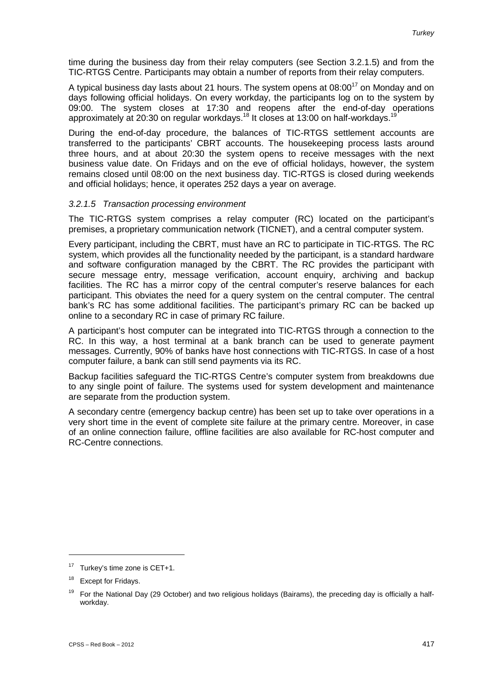time during the business day from their relay computers (see Section 3.2.1.5) and from the TIC-RTGS Centre. Participants may obtain a number of reports from their relay computers.

A typical business day lasts about 21 hours. The system opens at  $08:00^{17}$  on Monday and on days following official holidays. On every workday, the participants log on to the system by 09:00. The system closes at 17:30 and reopens after the end-of-day operations approximately at 20:30 on regular workdays.<sup>18</sup> It closes at 13:00 on half-workdays.<sup>19</sup>

During the end-of-day procedure, the balances of TIC-RTGS settlement accounts are transferred to the participants' CBRT accounts. The housekeeping process lasts around three hours, and at about 20:30 the system opens to receive messages with the next business value date. On Fridays and on the eve of official holidays, however, the system remains closed until 08:00 on the next business day. TIC-RTGS is closed during weekends and official holidays; hence, it operates 252 days a year on average.

#### *3.2.1.5 Transaction processing environment*

The TIC-RTGS system comprises a relay computer (RC) located on the participant's premises, a proprietary communication network (TICNET), and a central computer system.

Every participant, including the CBRT, must have an RC to participate in TIC-RTGS. The RC system, which provides all the functionality needed by the participant, is a standard hardware and software configuration managed by the CBRT. The RC provides the participant with secure message entry, message verification, account enquiry, archiving and backup facilities. The RC has a mirror copy of the central computer's reserve balances for each participant. This obviates the need for a query system on the central computer. The central bank's RC has some additional facilities. The participant's primary RC can be backed up online to a secondary RC in case of primary RC failure.

A participant's host computer can be integrated into TIC-RTGS through a connection to the RC. In this way, a host terminal at a bank branch can be used to generate payment messages. Currently, 90% of banks have host connections with TIC-RTGS. In case of a host computer failure, a bank can still send payments via its RC.

Backup facilities safeguard the TIC-RTGS Centre's computer system from breakdowns due to any single point of failure. The systems used for system development and maintenance are separate from the production system.

A secondary centre (emergency backup centre) has been set up to take over operations in a very short time in the event of complete site failure at the primary centre. Moreover, in case of an online connection failure, offline facilities are also available for RC-host computer and RC-Centre connections.

 $17$  Turkey's time zone is CET+1.

<sup>&</sup>lt;sup>18</sup> Except for Fridays.

 $19$  For the National Day (29 October) and two religious holidays (Bairams), the preceding day is officially a halfworkday.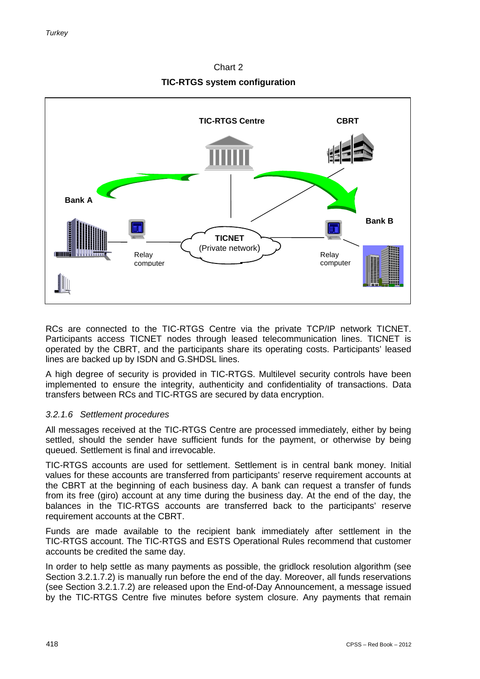Chart 2 **TIC-RTGS system configuration**



RCs are connected to the TIC-RTGS Centre via the private TCP/IP network TICNET. Participants access TICNET nodes through leased telecommunication lines. TICNET is operated by the CBRT, and the participants share its operating costs. Participants' leased lines are backed up by ISDN and G.SHDSL lines.

A high degree of security is provided in TIC-RTGS. Multilevel security controls have been implemented to ensure the integrity, authenticity and confidentiality of transactions. Data transfers between RCs and TIC-RTGS are secured by data encryption.

# *3.2.1.6 Settlement procedures*

All messages received at the TIC-RTGS Centre are processed immediately, either by being settled, should the sender have sufficient funds for the payment, or otherwise by being queued. Settlement is final and irrevocable.

TIC-RTGS accounts are used for settlement. Settlement is in central bank money. Initial values for these accounts are transferred from participants' reserve requirement accounts at the CBRT at the beginning of each business day. A bank can request a transfer of funds from its free (giro) account at any time during the business day. At the end of the day, the balances in the TIC-RTGS accounts are transferred back to the participants' reserve requirement accounts at the CBRT.

Funds are made available to the recipient bank immediately after settlement in the TIC-RTGS account. The TIC-RTGS and ESTS Operational Rules recommend that customer accounts be credited the same day.

In order to help settle as many payments as possible, the gridlock resolution algorithm (see Section 3.2.1.7.2) is manually run before the end of the day. Moreover, all funds reservations (see Section 3.2.1.7.2) are released upon the End-of-Day Announcement, a message issued by the TIC-RTGS Centre five minutes before system closure. Any payments that remain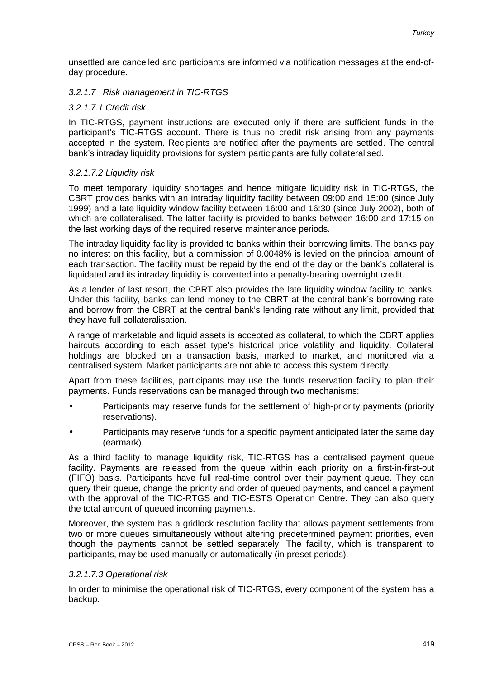unsettled are cancelled and participants are informed via notification messages at the end-ofday procedure.

#### *3.2.1.7 Risk management in TIC-RTGS*

#### *3.2.1.7.1 Credit risk*

In TIC-RTGS, payment instructions are executed only if there are sufficient funds in the participant's TIC-RTGS account. There is thus no credit risk arising from any payments accepted in the system. Recipients are notified after the payments are settled. The central bank's intraday liquidity provisions for system participants are fully collateralised.

#### *3.2.1.7.2 Liquidity risk*

To meet temporary liquidity shortages and hence mitigate liquidity risk in TIC-RTGS, the CBRT provides banks with an intraday liquidity facility between 09:00 and 15:00 (since July 1999) and a late liquidity window facility between 16:00 and 16:30 (since July 2002), both of which are collateralised. The latter facility is provided to banks between 16:00 and 17:15 on the last working days of the required reserve maintenance periods.

The intraday liquidity facility is provided to banks within their borrowing limits. The banks pay no interest on this facility, but a commission of 0.0048% is levied on the principal amount of each transaction. The facility must be repaid by the end of the day or the bank's collateral is liquidated and its intraday liquidity is converted into a penalty-bearing overnight credit.

As a lender of last resort, the CBRT also provides the late liquidity window facility to banks. Under this facility, banks can lend money to the CBRT at the central bank's borrowing rate and borrow from the CBRT at the central bank's lending rate without any limit, provided that they have full collateralisation.

A range of marketable and liquid assets is accepted as collateral, to which the CBRT applies haircuts according to each asset type's historical price volatility and liquidity. Collateral holdings are blocked on a transaction basis, marked to market, and monitored via a centralised system. Market participants are not able to access this system directly.

Apart from these facilities, participants may use the funds reservation facility to plan their payments. Funds reservations can be managed through two mechanisms:

- Participants may reserve funds for the settlement of high-priority payments (priority reservations).
- Participants may reserve funds for a specific payment anticipated later the same day (earmark).

As a third facility to manage liquidity risk, TIC-RTGS has a centralised payment queue facility. Payments are released from the queue within each priority on a first-in-first-out (FIFO) basis. Participants have full real-time control over their payment queue. They can query their queue, change the priority and order of queued payments, and cancel a payment with the approval of the TIC-RTGS and TIC-ESTS Operation Centre. They can also query the total amount of queued incoming payments.

Moreover, the system has a gridlock resolution facility that allows payment settlements from two or more queues simultaneously without altering predetermined payment priorities, even though the payments cannot be settled separately. The facility, which is transparent to participants, may be used manually or automatically (in preset periods).

#### *3.2.1.7.3 Operational risk*

In order to minimise the operational risk of TIC-RTGS, every component of the system has a backup.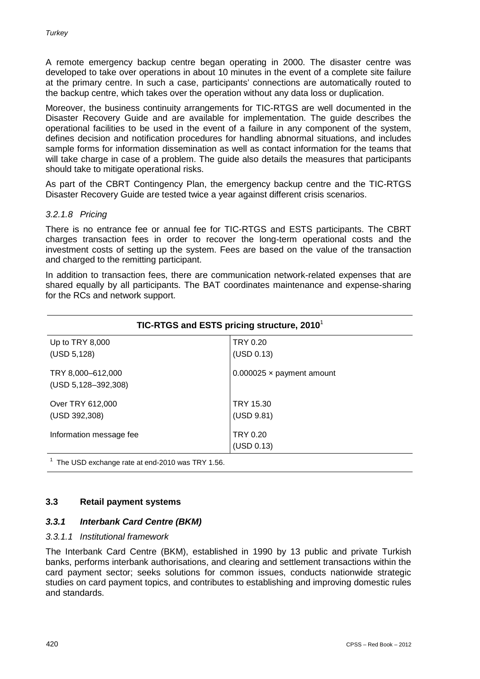A remote emergency backup centre began operating in 2000. The disaster centre was developed to take over operations in about 10 minutes in the event of a complete site failure at the primary centre. In such a case, participants' connections are automatically routed to the backup centre, which takes over the operation without any data loss or duplication.

Moreover, the business continuity arrangements for TIC-RTGS are well documented in the Disaster Recovery Guide and are available for implementation. The guide describes the operational facilities to be used in the event of a failure in any component of the system, defines decision and notification procedures for handling abnormal situations, and includes sample forms for information dissemination as well as contact information for the teams that will take charge in case of a problem. The guide also details the measures that participants should take to mitigate operational risks.

As part of the CBRT Contingency Plan, the emergency backup centre and the TIC-RTGS Disaster Recovery Guide are tested twice a year against different crisis scenarios.

#### *3.2.1.8 Pricing*

There is no entrance fee or annual fee for TIC-RTGS and ESTS participants. The CBRT charges transaction fees in order to recover the long-term operational costs and the investment costs of setting up the system. Fees are based on the value of the transaction and charged to the remitting participant.

In addition to transaction fees, there are communication network-related expenses that are shared equally by all participants. The BAT coordinates maintenance and expense-sharing for the RCs and network support.

| TIC-RTGS and ESTS pricing structure, 2010 $^1$ |  |  |  |  |
|------------------------------------------------|--|--|--|--|
| <b>TRY 0.20</b><br>(USD 0.13)                  |  |  |  |  |
| $0.000025 \times$ payment amount               |  |  |  |  |
| TRY 15.30<br>(USD 9.81)                        |  |  |  |  |
| <b>TRY 0.20</b><br>(USD 0.13)                  |  |  |  |  |
|                                                |  |  |  |  |

1 The USD exchange rate at end-2010 was TRY 1.56.

# **3.3 Retail payment systems**

#### *3.3.1 Interbank Card Centre (BKM)*

#### *3.3.1.1 Institutional framework*

The Interbank Card Centre (BKM), established in 1990 by 13 public and private Turkish banks, performs interbank authorisations, and clearing and settlement transactions within the card payment sector; seeks solutions for common issues, conducts nationwide strategic studies on card payment topics, and contributes to establishing and improving domestic rules and standards.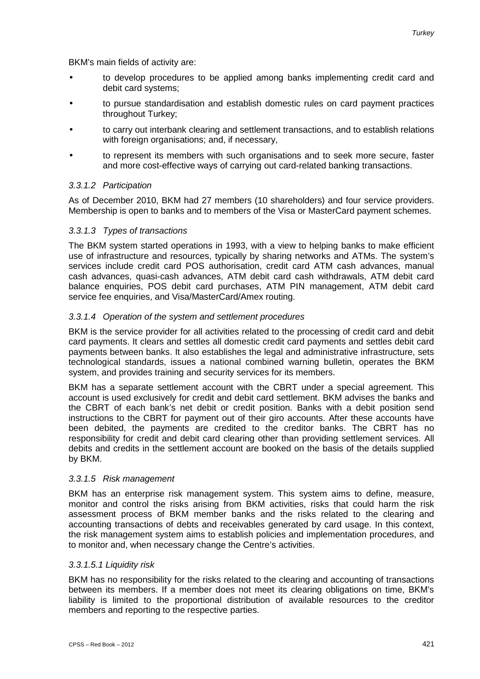BKM's main fields of activity are:

- to develop procedures to be applied among banks implementing credit card and debit card systems;
- to pursue standardisation and establish domestic rules on card payment practices throughout Turkey;
- to carry out interbank clearing and settlement transactions, and to establish relations with foreign organisations; and, if necessary,
- to represent its members with such organisations and to seek more secure, faster and more cost-effective ways of carrying out card-related banking transactions.

#### *3.3.1.2 Participation*

As of December 2010, BKM had 27 members (10 shareholders) and four service providers. Membership is open to banks and to members of the Visa or MasterCard payment schemes.

#### *3.3.1.3 Types of transactions*

The BKM system started operations in 1993, with a view to helping banks to make efficient use of infrastructure and resources, typically by sharing networks and ATMs. The system's services include credit card POS authorisation, credit card ATM cash advances, manual cash advances, quasi-cash advances, ATM debit card cash withdrawals, ATM debit card balance enquiries, POS debit card purchases, ATM PIN management, ATM debit card service fee enquiries, and Visa/MasterCard/Amex routing.

#### *3.3.1.4 Operation of the system and settlement procedures*

BKM is the service provider for all activities related to the processing of credit card and debit card payments. It clears and settles all domestic credit card payments and settles debit card payments between banks. It also establishes the legal and administrative infrastructure, sets technological standards, issues a national combined warning bulletin, operates the BKM system, and provides training and security services for its members.

BKM has a separate settlement account with the CBRT under a special agreement. This account is used exclusively for credit and debit card settlement. BKM advises the banks and the CBRT of each bank's net debit or credit position. Banks with a debit position send instructions to the CBRT for payment out of their giro accounts. After these accounts have been debited, the payments are credited to the creditor banks. The CBRT has no responsibility for credit and debit card clearing other than providing settlement services. All debits and credits in the settlement account are booked on the basis of the details supplied by BKM.

#### *3.3.1.5 Risk management*

BKM has an enterprise risk management system. This system aims to define, measure, monitor and control the risks arising from BKM activities, risks that could harm the risk assessment process of BKM member banks and the risks related to the clearing and accounting transactions of debts and receivables generated by card usage. In this context, the risk management system aims to establish policies and implementation procedures, and to monitor and, when necessary change the Centre's activities.

#### *3.3.1.5.1 Liquidity risk*

BKM has no responsibility for the risks related to the clearing and accounting of transactions between its members. If a member does not meet its clearing obligations on time, BKM's liability is limited to the proportional distribution of available resources to the creditor members and reporting to the respective parties.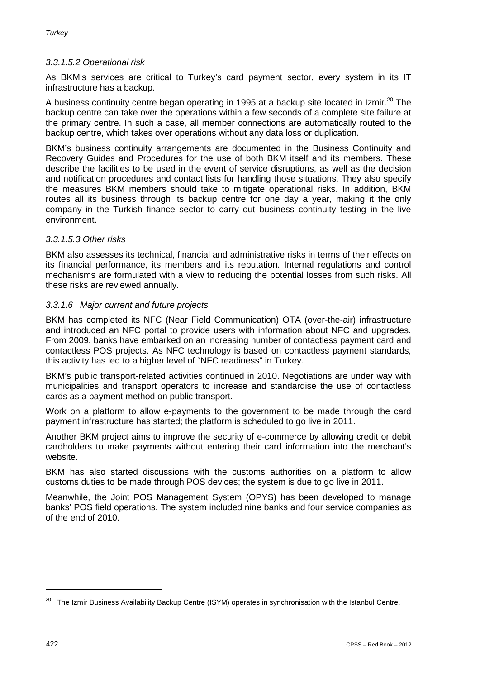# *3.3.1.5.2 Operational risk*

As BKM's services are critical to Turkey's card payment sector, every system in its IT infrastructure has a backup.

A business continuity centre began operating in 1995 at a backup site located in Izmir.<sup>20</sup> The backup centre can take over the operations within a few seconds of a complete site failure at the primary centre. In such a case, all member connections are automatically routed to the backup centre, which takes over operations without any data loss or duplication.

BKM's business continuity arrangements are documented in the Business Continuity and Recovery Guides and Procedures for the use of both BKM itself and its members. These describe the facilities to be used in the event of service disruptions, as well as the decision and notification procedures and contact lists for handling those situations. They also specify the measures BKM members should take to mitigate operational risks. In addition, BKM routes all its business through its backup centre for one day a year, making it the only company in the Turkish finance sector to carry out business continuity testing in the live environment.

#### *3.3.1.5.3 Other risks*

BKM also assesses its technical, financial and administrative risks in terms of their effects on its financial performance, its members and its reputation. Internal regulations and control mechanisms are formulated with a view to reducing the potential losses from such risks. All these risks are reviewed annually.

#### *3.3.1.6 Major current and future projects*

BKM has completed its NFC (Near Field Communication) OTA (over-the-air) infrastructure and introduced an NFC portal to provide users with information about NFC and upgrades. From 2009, banks have embarked on an increasing number of contactless payment card and contactless POS projects. As NFC technology is based on contactless payment standards, this activity has led to a higher level of "NFC readiness" in Turkey.

BKM's public transport-related activities continued in 2010. Negotiations are under way with municipalities and transport operators to increase and standardise the use of contactless cards as a payment method on public transport.

Work on a platform to allow e-payments to the government to be made through the card payment infrastructure has started; the platform is scheduled to go live in 2011.

Another BKM project aims to improve the security of e-commerce by allowing credit or debit cardholders to make payments without entering their card information into the merchant's website.

BKM has also started discussions with the customs authorities on a platform to allow customs duties to be made through POS devices; the system is due to go live in 2011.

Meanwhile, the Joint POS Management System (OPYS) has been developed to manage banks' POS field operations. The system included nine banks and four service companies as of the end of 2010.

<sup>&</sup>lt;sup>20</sup> The Izmir Business Availability Backup Centre (ISYM) operates in synchronisation with the Istanbul Centre.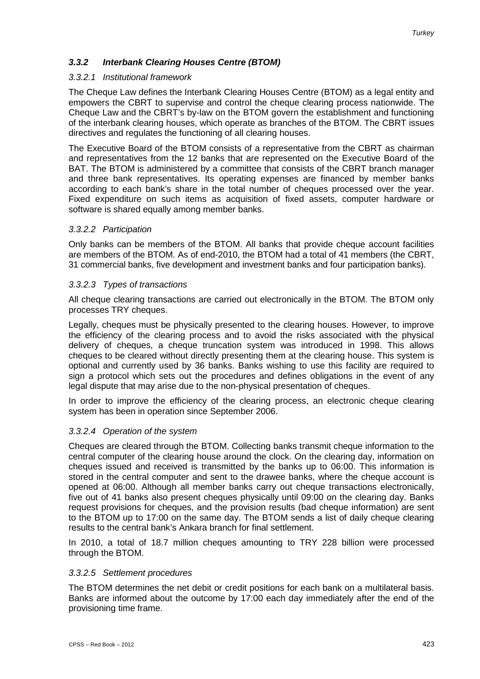# *3.3.2 Interbank Clearing Houses Centre (BTOM)*

#### *3.3.2.1 Institutional framework*

The Cheque Law defines the Interbank Clearing Houses Centre (BTOM) as a legal entity and empowers the CBRT to supervise and control the cheque clearing process nationwide. The Cheque Law and the CBRT's by-law on the BTOM govern the establishment and functioning of the interbank clearing houses, which operate as branches of the BTOM. The CBRT issues directives and regulates the functioning of all clearing houses.

The Executive Board of the BTOM consists of a representative from the CBRT as chairman and representatives from the 12 banks that are represented on the Executive Board of the BAT. The BTOM is administered by a committee that consists of the CBRT branch manager and three bank representatives. Its operating expenses are financed by member banks according to each bank's share in the total number of cheques processed over the year. Fixed expenditure on such items as acquisition of fixed assets, computer hardware or software is shared equally among member banks.

#### *3.3.2.2 Participation*

Only banks can be members of the BTOM. All banks that provide cheque account facilities are members of the BTOM. As of end-2010, the BTOM had a total of 41 members (the CBRT, 31 commercial banks, five development and investment banks and four participation banks).

#### *3.3.2.3 Types of transactions*

All cheque clearing transactions are carried out electronically in the BTOM. The BTOM only processes TRY cheques.

Legally, cheques must be physically presented to the clearing houses. However, to improve the efficiency of the clearing process and to avoid the risks associated with the physical delivery of cheques, a cheque truncation system was introduced in 1998. This allows cheques to be cleared without directly presenting them at the clearing house. This system is optional and currently used by 36 banks. Banks wishing to use this facility are required to sign a protocol which sets out the procedures and defines obligations in the event of any legal dispute that may arise due to the non-physical presentation of cheques.

In order to improve the efficiency of the clearing process, an electronic cheque clearing system has been in operation since September 2006.

#### *3.3.2.4 Operation of the system*

Cheques are cleared through the BTOM. Collecting banks transmit cheque information to the central computer of the clearing house around the clock. On the clearing day, information on cheques issued and received is transmitted by the banks up to 06:00. This information is stored in the central computer and sent to the drawee banks, where the cheque account is opened at 06:00. Although all member banks carry out cheque transactions electronically, five out of 41 banks also present cheques physically until 09:00 on the clearing day. Banks request provisions for cheques, and the provision results (bad cheque information) are sent to the BTOM up to 17:00 on the same day. The BTOM sends a list of daily cheque clearing results to the central bank's Ankara branch for final settlement.

In 2010, a total of 18.7 million cheques amounting to TRY 228 billion were processed through the BTOM.

#### *3.3.2.5 Settlement procedures*

The BTOM determines the net debit or credit positions for each bank on a multilateral basis. Banks are informed about the outcome by 17:00 each day immediately after the end of the provisioning time frame.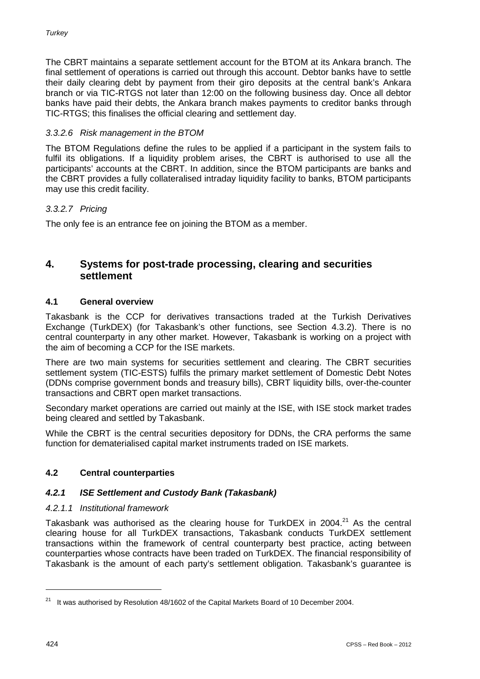The CBRT maintains a separate settlement account for the BTOM at its Ankara branch. The final settlement of operations is carried out through this account. Debtor banks have to settle their daily clearing debt by payment from their giro deposits at the central bank's Ankara branch or via TIC-RTGS not later than 12:00 on the following business day. Once all debtor banks have paid their debts, the Ankara branch makes payments to creditor banks through TIC-RTGS; this finalises the official clearing and settlement day.

# *3.3.2.6 Risk management in the BTOM*

The BTOM Regulations define the rules to be applied if a participant in the system fails to fulfil its obligations. If a liquidity problem arises, the CBRT is authorised to use all the participants' accounts at the CBRT. In addition, since the BTOM participants are banks and the CBRT provides a fully collateralised intraday liquidity facility to banks, BTOM participants may use this credit facility.

# *3.3.2.7 Pricing*

The only fee is an entrance fee on joining the BTOM as a member.

# **4. Systems for post-trade processing, clearing and securities settlement**

# **4.1 General overview**

Takasbank is the CCP for derivatives transactions traded at the Turkish Derivatives Exchange (TurkDEX) (for Takasbank's other functions, see Section 4.3.2). There is no central counterparty in any other market. However, Takasbank is working on a project with the aim of becoming a CCP for the ISE markets.

There are two main systems for securities settlement and clearing. The CBRT securities settlement system (TIC-ESTS) fulfils the primary market settlement of Domestic Debt Notes (DDNs comprise government bonds and treasury bills), CBRT liquidity bills, over-the-counter transactions and CBRT open market transactions.

Secondary market operations are carried out mainly at the ISE, with ISE stock market trades being cleared and settled by Takasbank.

While the CBRT is the central securities depository for DDNs, the CRA performs the same function for dematerialised capital market instruments traded on ISE markets.

#### **4.2 Central counterparties**

#### *4.2.1 ISE Settlement and Custody Bank (Takasbank)*

#### *4.2.1.1 Institutional framework*

Takasbank was authorised as the clearing house for TurkDEX in 2004.<sup>21</sup> As the central clearing house for all TurkDEX transactions, Takasbank conducts TurkDEX settlement transactions within the framework of central counterparty best practice, acting between counterparties whose contracts have been traded on TurkDEX. The financial responsibility of Takasbank is the amount of each party's settlement obligation. Takasbank's guarantee is

 $21$  It was authorised by Resolution 48/1602 of the Capital Markets Board of 10 December 2004.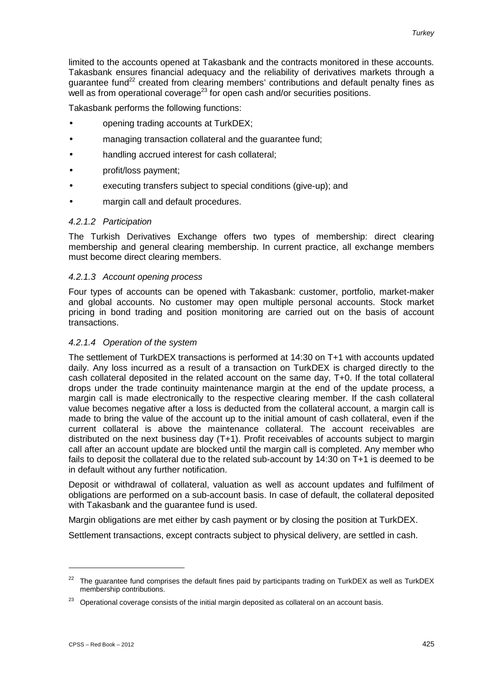limited to the accounts opened at Takasbank and the contracts monitored in these accounts. Takasbank ensures financial adequacy and the reliability of derivatives markets through a guarantee fund<sup>22</sup> created from clearing members' contributions and default penalty fines as well as from operational coverage<sup>23</sup> for open cash and/or securities positions.

Takasbank performs the following functions:

- opening trading accounts at TurkDEX;
- managing transaction collateral and the guarantee fund;
- handling accrued interest for cash collateral;
- profit/loss payment;
- executing transfers subject to special conditions (give-up); and
- margin call and default procedures.

#### *4.2.1.2 Participation*

The Turkish Derivatives Exchange offers two types of membership: direct clearing membership and general clearing membership. In current practice, all exchange members must become direct clearing members.

#### *4.2.1.3 Account opening process*

Four types of accounts can be opened with Takasbank: customer, portfolio, market-maker and global accounts. No customer may open multiple personal accounts. Stock market pricing in bond trading and position monitoring are carried out on the basis of account transactions.

#### *4.2.1.4 Operation of the system*

The settlement of TurkDEX transactions is performed at 14:30 on T+1 with accounts updated daily. Any loss incurred as a result of a transaction on TurkDEX is charged directly to the cash collateral deposited in the related account on the same day, T+0. If the total collateral drops under the trade continuity maintenance margin at the end of the update process, a margin call is made electronically to the respective clearing member. If the cash collateral value becomes negative after a loss is deducted from the collateral account, a margin call is made to bring the value of the account up to the initial amount of cash collateral, even if the current collateral is above the maintenance collateral. The account receivables are distributed on the next business day (T+1). Profit receivables of accounts subject to margin call after an account update are blocked until the margin call is completed. Any member who fails to deposit the collateral due to the related sub-account by 14:30 on T+1 is deemed to be in default without any further notification.

Deposit or withdrawal of collateral, valuation as well as account updates and fulfilment of obligations are performed on a sub-account basis. In case of default, the collateral deposited with Takasbank and the guarantee fund is used.

Margin obligations are met either by cash payment or by closing the position at TurkDEX.

Settlement transactions, except contracts subject to physical delivery, are settled in cash.

The guarantee fund comprises the default fines paid by participants trading on TurkDEX as well as TurkDEX membership contributions.

<sup>&</sup>lt;sup>23</sup> Operational coverage consists of the initial margin deposited as collateral on an account basis.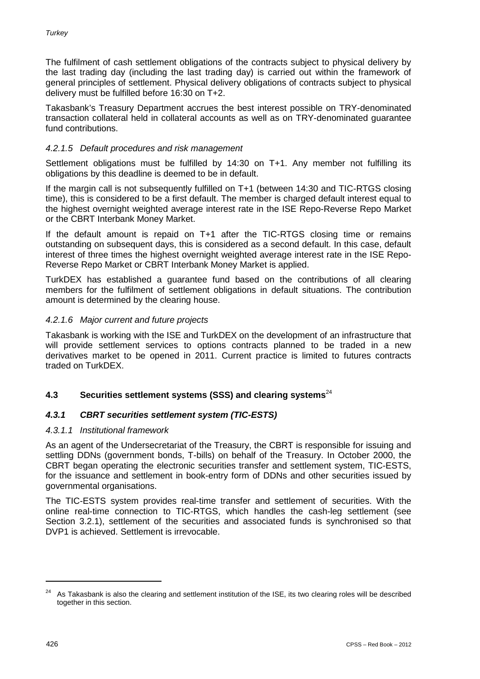The fulfilment of cash settlement obligations of the contracts subject to physical delivery by the last trading day (including the last trading day) is carried out within the framework of general principles of settlement. Physical delivery obligations of contracts subject to physical delivery must be fulfilled before 16:30 on T+2.

Takasbank's Treasury Department accrues the best interest possible on TRY-denominated transaction collateral held in collateral accounts as well as on TRY-denominated guarantee fund contributions.

# *4.2.1.5 Default procedures and risk management*

Settlement obligations must be fulfilled by 14:30 on T+1. Any member not fulfilling its obligations by this deadline is deemed to be in default.

If the margin call is not subsequently fulfilled on T+1 (between 14:30 and TIC-RTGS closing time), this is considered to be a first default. The member is charged default interest equal to the highest overnight weighted average interest rate in the ISE Repo-Reverse Repo Market or the CBRT Interbank Money Market.

If the default amount is repaid on T+1 after the TIC-RTGS closing time or remains outstanding on subsequent days, this is considered as a second default. In this case, default interest of three times the highest overnight weighted average interest rate in the ISE Repo-Reverse Repo Market or CBRT Interbank Money Market is applied.

TurkDEX has established a guarantee fund based on the contributions of all clearing members for the fulfilment of settlement obligations in default situations. The contribution amount is determined by the clearing house.

#### *4.2.1.6 Major current and future projects*

Takasbank is working with the ISE and TurkDEX on the development of an infrastructure that will provide settlement services to options contracts planned to be traded in a new derivatives market to be opened in 2011. Current practice is limited to futures contracts traded on TurkDEX.

# **4.3 Securities settlement systems (SSS) and clearing systems**<sup>24</sup>

#### *4.3.1 CBRT securities settlement system (TIC-ESTS)*

#### *4.3.1.1 Institutional framework*

As an agent of the Undersecretariat of the Treasury, the CBRT is responsible for issuing and settling DDNs (government bonds, T-bills) on behalf of the Treasury. In October 2000, the CBRT began operating the electronic securities transfer and settlement system, TIC-ESTS, for the issuance and settlement in book-entry form of DDNs and other securities issued by governmental organisations.

The TIC-ESTS system provides real-time transfer and settlement of securities. With the online real-time connection to TIC-RTGS, which handles the cash-leg settlement (see Section 3.2.1), settlement of the securities and associated funds is synchronised so that DVP1 is achieved. Settlement is irrevocable.

<sup>&</sup>lt;sup>24</sup> As Takasbank is also the clearing and settlement institution of the ISE, its two clearing roles will be described together in this section.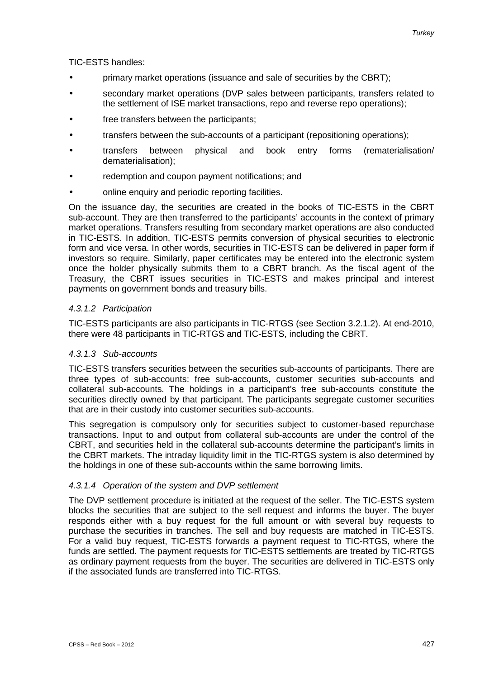#### TIC-ESTS handles:

- primary market operations (issuance and sale of securities by the CBRT);
- secondary market operations (DVP sales between participants, transfers related to the settlement of ISE market transactions, repo and reverse repo operations);
- free transfers between the participants;
- transfers between the sub-accounts of a participant (repositioning operations);
- transfers between physical and book entry forms (rematerialisation/ dematerialisation);
- redemption and coupon payment notifications; and
- online enquiry and periodic reporting facilities.

On the issuance day, the securities are created in the books of TIC-ESTS in the CBRT sub-account. They are then transferred to the participants' accounts in the context of primary market operations. Transfers resulting from secondary market operations are also conducted in TIC-ESTS. In addition, TIC-ESTS permits conversion of physical securities to electronic form and vice versa. In other words, securities in TIC-ESTS can be delivered in paper form if investors so require. Similarly, paper certificates may be entered into the electronic system once the holder physically submits them to a CBRT branch. As the fiscal agent of the Treasury, the CBRT issues securities in TIC-ESTS and makes principal and interest payments on government bonds and treasury bills.

# *4.3.1.2 Participation*

TIC-ESTS participants are also participants in TIC-RTGS (see Section 3.2.1.2). At end-2010, there were 48 participants in TIC-RTGS and TIC-ESTS, including the CBRT.

#### *4.3.1.3 Sub-accounts*

TIC-ESTS transfers securities between the securities sub-accounts of participants. There are three types of sub-accounts: free sub-accounts, customer securities sub-accounts and collateral sub-accounts. The holdings in a participant's free sub-accounts constitute the securities directly owned by that participant. The participants segregate customer securities that are in their custody into customer securities sub-accounts.

This segregation is compulsory only for securities subject to customer-based repurchase transactions. Input to and output from collateral sub-accounts are under the control of the CBRT, and securities held in the collateral sub-accounts determine the participant's limits in the CBRT markets. The intraday liquidity limit in the TIC-RTGS system is also determined by the holdings in one of these sub-accounts within the same borrowing limits.

#### *4.3.1.4 Operation of the system and DVP settlement*

The DVP settlement procedure is initiated at the request of the seller. The TIC-ESTS system blocks the securities that are subject to the sell request and informs the buyer. The buyer responds either with a buy request for the full amount or with several buy requests to purchase the securities in tranches. The sell and buy requests are matched in TIC-ESTS. For a valid buy request, TIC-ESTS forwards a payment request to TIC-RTGS, where the funds are settled. The payment requests for TIC-ESTS settlements are treated by TIC-RTGS as ordinary payment requests from the buyer. The securities are delivered in TIC-ESTS only if the associated funds are transferred into TIC-RTGS.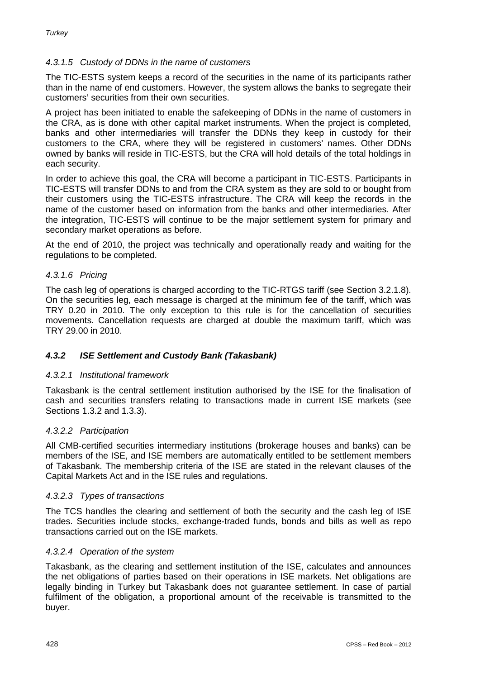# *4.3.1.5 Custody of DDNs in the name of customers*

The TIC-ESTS system keeps a record of the securities in the name of its participants rather than in the name of end customers. However, the system allows the banks to segregate their customers' securities from their own securities.

A project has been initiated to enable the safekeeping of DDNs in the name of customers in the CRA, as is done with other capital market instruments. When the project is completed, banks and other intermediaries will transfer the DDNs they keep in custody for their customers to the CRA, where they will be registered in customers' names. Other DDNs owned by banks will reside in TIC-ESTS, but the CRA will hold details of the total holdings in each security.

In order to achieve this goal, the CRA will become a participant in TIC-ESTS. Participants in TIC-ESTS will transfer DDNs to and from the CRA system as they are sold to or bought from their customers using the TIC-ESTS infrastructure. The CRA will keep the records in the name of the customer based on information from the banks and other intermediaries. After the integration, TIC-ESTS will continue to be the major settlement system for primary and secondary market operations as before.

At the end of 2010, the project was technically and operationally ready and waiting for the regulations to be completed.

#### *4.3.1.6 Pricing*

The cash leg of operations is charged according to the TIC-RTGS tariff (see Section 3.2.1.8). On the securities leg, each message is charged at the minimum fee of the tariff, which was TRY 0.20 in 2010. The only exception to this rule is for the cancellation of securities movements. Cancellation requests are charged at double the maximum tariff, which was TRY 29.00 in 2010.

#### *4.3.2 ISE Settlement and Custody Bank (Takasbank)*

#### *4.3.2.1 Institutional framework*

Takasbank is the central settlement institution authorised by the ISE for the finalisation of cash and securities transfers relating to transactions made in current ISE markets (see Sections 1.3.2 and 1.3.3).

#### *4.3.2.2 Participation*

All CMB-certified securities intermediary institutions (brokerage houses and banks) can be members of the ISE, and ISE members are automatically entitled to be settlement members of Takasbank. The membership criteria of the ISE are stated in the relevant clauses of the Capital Markets Act and in the ISE rules and regulations.

#### *4.3.2.3 Types of transactions*

The TCS handles the clearing and settlement of both the security and the cash leg of ISE trades. Securities include stocks, exchange-traded funds, bonds and bills as well as repo transactions carried out on the ISE markets.

#### *4.3.2.4 Operation of the system*

Takasbank, as the clearing and settlement institution of the ISE, calculates and announces the net obligations of parties based on their operations in ISE markets. Net obligations are legally binding in Turkey but Takasbank does not guarantee settlement. In case of partial fulfilment of the obligation, a proportional amount of the receivable is transmitted to the buyer.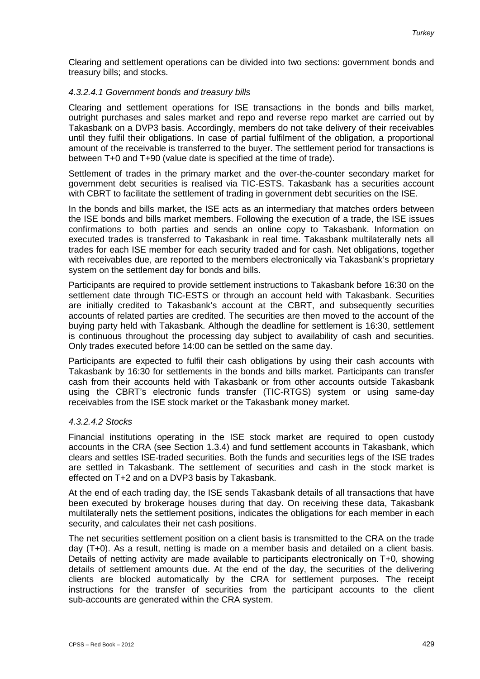Clearing and settlement operations can be divided into two sections: government bonds and treasury bills; and stocks.

#### *4.3.2.4.1 Government bonds and treasury bills*

Clearing and settlement operations for ISE transactions in the bonds and bills market, outright purchases and sales market and repo and reverse repo market are carried out by Takasbank on a DVP3 basis. Accordingly, members do not take delivery of their receivables until they fulfil their obligations. In case of partial fulfilment of the obligation, a proportional amount of the receivable is transferred to the buyer. The settlement period for transactions is between T+0 and T+90 (value date is specified at the time of trade).

Settlement of trades in the primary market and the over-the-counter secondary market for government debt securities is realised via TIC-ESTS. Takasbank has a securities account with CBRT to facilitate the settlement of trading in government debt securities on the ISE.

In the bonds and bills market, the ISE acts as an intermediary that matches orders between the ISE bonds and bills market members. Following the execution of a trade, the ISE issues confirmations to both parties and sends an online copy to Takasbank. Information on executed trades is transferred to Takasbank in real time. Takasbank multilaterally nets all trades for each ISE member for each security traded and for cash. Net obligations, together with receivables due, are reported to the members electronically via Takasbank's proprietary system on the settlement day for bonds and bills.

Participants are required to provide settlement instructions to Takasbank before 16:30 on the settlement date through TIC-ESTS or through an account held with Takasbank. Securities are initially credited to Takasbank's account at the CBRT, and subsequently securities accounts of related parties are credited. The securities are then moved to the account of the buying party held with Takasbank. Although the deadline for settlement is 16:30, settlement is continuous throughout the processing day subject to availability of cash and securities. Only trades executed before 14:00 can be settled on the same day.

Participants are expected to fulfil their cash obligations by using their cash accounts with Takasbank by 16:30 for settlements in the bonds and bills market. Participants can transfer cash from their accounts held with Takasbank or from other accounts outside Takasbank using the CBRT's electronic funds transfer (TIC-RTGS) system or using same-day receivables from the ISE stock market or the Takasbank money market.

#### *4.3.2.4.2 Stocks*

Financial institutions operating in the ISE stock market are required to open custody accounts in the CRA (see Section 1.3.4) and fund settlement accounts in Takasbank, which clears and settles ISE-traded securities. Both the funds and securities legs of the ISE trades are settled in Takasbank. The settlement of securities and cash in the stock market is effected on T+2 and on a DVP3 basis by Takasbank.

At the end of each trading day, the ISE sends Takasbank details of all transactions that have been executed by brokerage houses during that day. On receiving these data, Takasbank multilaterally nets the settlement positions, indicates the obligations for each member in each security, and calculates their net cash positions.

The net securities settlement position on a client basis is transmitted to the CRA on the trade day (T+0). As a result, netting is made on a member basis and detailed on a client basis. Details of netting activity are made available to participants electronically on T+0, showing details of settlement amounts due. At the end of the day, the securities of the delivering clients are blocked automatically by the CRA for settlement purposes. The receipt instructions for the transfer of securities from the participant accounts to the client sub-accounts are generated within the CRA system.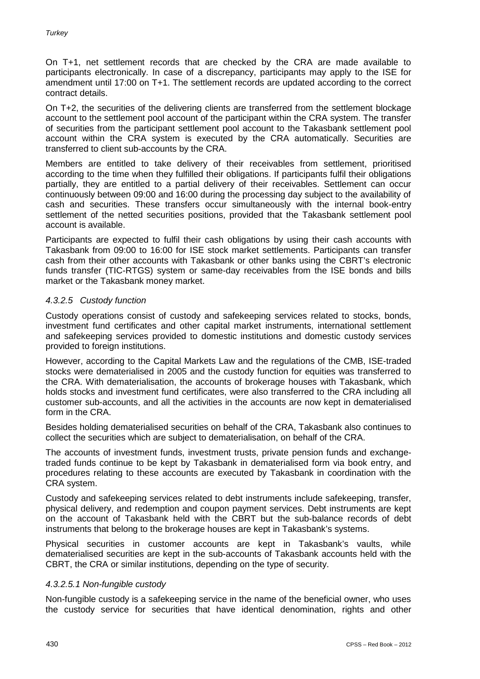On T+1, net settlement records that are checked by the CRA are made available to participants electronically. In case of a discrepancy, participants may apply to the ISE for amendment until 17:00 on T+1. The settlement records are updated according to the correct contract details.

On T+2, the securities of the delivering clients are transferred from the settlement blockage account to the settlement pool account of the participant within the CRA system. The transfer of securities from the participant settlement pool account to the Takasbank settlement pool account within the CRA system is executed by the CRA automatically. Securities are transferred to client sub-accounts by the CRA.

Members are entitled to take delivery of their receivables from settlement, prioritised according to the time when they fulfilled their obligations. If participants fulfil their obligations partially, they are entitled to a partial delivery of their receivables. Settlement can occur continuously between 09:00 and 16:00 during the processing day subject to the availability of cash and securities. These transfers occur simultaneously with the internal book-entry settlement of the netted securities positions, provided that the Takasbank settlement pool account is available.

Participants are expected to fulfil their cash obligations by using their cash accounts with Takasbank from 09:00 to 16:00 for ISE stock market settlements. Participants can transfer cash from their other accounts with Takasbank or other banks using the CBRT's electronic funds transfer (TIC-RTGS) system or same-day receivables from the ISE bonds and bills market or the Takasbank money market.

# *4.3.2.5 Custody function*

Custody operations consist of custody and safekeeping services related to stocks, bonds, investment fund certificates and other capital market instruments, international settlement and safekeeping services provided to domestic institutions and domestic custody services provided to foreign institutions.

However, according to the Capital Markets Law and the regulations of the CMB, ISE-traded stocks were dematerialised in 2005 and the custody function for equities was transferred to the CRA. With dematerialisation, the accounts of brokerage houses with Takasbank, which holds stocks and investment fund certificates, were also transferred to the CRA including all customer sub-accounts, and all the activities in the accounts are now kept in dematerialised form in the CRA.

Besides holding dematerialised securities on behalf of the CRA, Takasbank also continues to collect the securities which are subject to dematerialisation, on behalf of the CRA.

The accounts of investment funds, investment trusts, private pension funds and exchangetraded funds continue to be kept by Takasbank in dematerialised form via book entry, and procedures relating to these accounts are executed by Takasbank in coordination with the CRA system.

Custody and safekeeping services related to debt instruments include safekeeping, transfer, physical delivery, and redemption and coupon payment services. Debt instruments are kept on the account of Takasbank held with the CBRT but the sub-balance records of debt instruments that belong to the brokerage houses are kept in Takasbank's systems.

Physical securities in customer accounts are kept in Takasbank's vaults, while dematerialised securities are kept in the sub-accounts of Takasbank accounts held with the CBRT, the CRA or similar institutions, depending on the type of security.

# *4.3.2.5.1 Non-fungible custody*

Non-fungible custody is a safekeeping service in the name of the beneficial owner, who uses the custody service for securities that have identical denomination, rights and other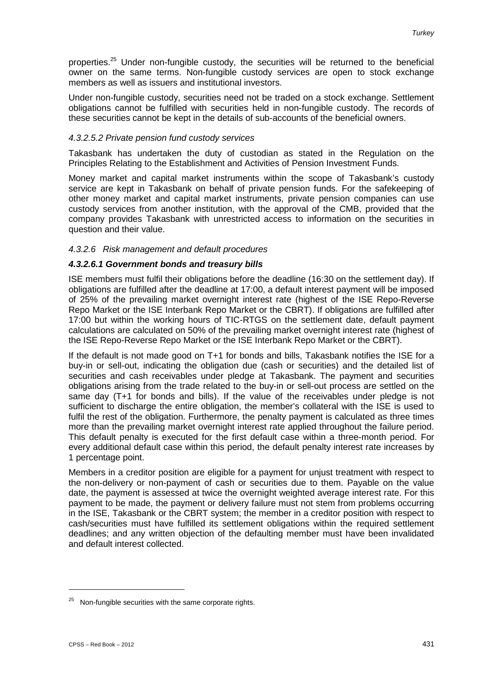properties.<sup>25</sup> Under non-fungible custody, the securities will be returned to the beneficial owner on the same terms. Non-fungible custody services are open to stock exchange members as well as issuers and institutional investors.

Under non-fungible custody, securities need not be traded on a stock exchange. Settlement obligations cannot be fulfilled with securities held in non-fungible custody. The records of these securities cannot be kept in the details of sub-accounts of the beneficial owners.

#### *4.3.2.5.2 Private pension fund custody services*

Takasbank has undertaken the duty of custodian as stated in the Regulation on the Principles Relating to the Establishment and Activities of Pension Investment Funds.

Money market and capital market instruments within the scope of Takasbank's custody service are kept in Takasbank on behalf of private pension funds. For the safekeeping of other money market and capital market instruments, private pension companies can use custody services from another institution, with the approval of the CMB, provided that the company provides Takasbank with unrestricted access to information on the securities in question and their value.

#### *4.3.2.6 Risk management and default procedures*

#### *4.3.2.6.1 Government bonds and treasury bills*

ISE members must fulfil their obligations before the deadline (16:30 on the settlement day). If obligations are fulfilled after the deadline at 17:00, a default interest payment will be imposed of 25% of the prevailing market overnight interest rate (highest of the ISE Repo-Reverse Repo Market or the ISE Interbank Repo Market or the CBRT). If obligations are fulfilled after 17:00 but within the working hours of TIC-RTGS on the settlement date, default payment calculations are calculated on 50% of the prevailing market overnight interest rate (highest of the ISE Repo-Reverse Repo Market or the ISE Interbank Repo Market or the CBRT).

If the default is not made good on T+1 for bonds and bills, Takasbank notifies the ISE for a buy-in or sell-out, indicating the obligation due (cash or securities) and the detailed list of securities and cash receivables under pledge at Takasbank. The payment and securities obligations arising from the trade related to the buy-in or sell-out process are settled on the same day (T+1 for bonds and bills). If the value of the receivables under pledge is not sufficient to discharge the entire obligation, the member's collateral with the ISE is used to fulfil the rest of the obligation. Furthermore, the penalty payment is calculated as three times more than the prevailing market overnight interest rate applied throughout the failure period. This default penalty is executed for the first default case within a three-month period. For every additional default case within this period, the default penalty interest rate increases by 1 percentage point.

Members in a creditor position are eligible for a payment for unjust treatment with respect to the non-delivery or non-payment of cash or securities due to them. Payable on the value date, the payment is assessed at twice the overnight weighted average interest rate. For this payment to be made, the payment or delivery failure must not stem from problems occurring in the ISE, Takasbank or the CBRT system; the member in a creditor position with respect to cash/securities must have fulfilled its settlement obligations within the required settlement deadlines; and any written objection of the defaulting member must have been invalidated and default interest collected.

 $25$  Non-fungible securities with the same corporate rights.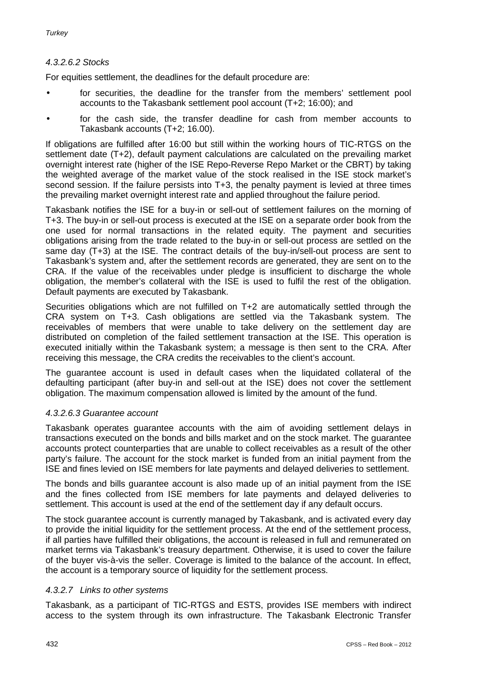#### *4.3.2.6.2 Stocks*

For equities settlement, the deadlines for the default procedure are:

- for securities, the deadline for the transfer from the members' settlement pool accounts to the Takasbank settlement pool account (T+2; 16:00); and
- for the cash side, the transfer deadline for cash from member accounts to Takasbank accounts (T+2; 16.00).

If obligations are fulfilled after 16:00 but still within the working hours of TIC-RTGS on the settlement date (T+2), default payment calculations are calculated on the prevailing market overnight interest rate (higher of the ISE Repo-Reverse Repo Market or the CBRT) by taking the weighted average of the market value of the stock realised in the ISE stock market's second session. If the failure persists into T+3, the penalty payment is levied at three times the prevailing market overnight interest rate and applied throughout the failure period.

Takasbank notifies the ISE for a buy-in or sell-out of settlement failures on the morning of T+3. The buy-in or sell-out process is executed at the ISE on a separate order book from the one used for normal transactions in the related equity. The payment and securities obligations arising from the trade related to the buy-in or sell-out process are settled on the same day (T+3) at the ISE. The contract details of the buy-in/sell-out process are sent to Takasbank's system and, after the settlement records are generated, they are sent on to the CRA. If the value of the receivables under pledge is insufficient to discharge the whole obligation, the member's collateral with the ISE is used to fulfil the rest of the obligation. Default payments are executed by Takasbank.

Securities obligations which are not fulfilled on T+2 are automatically settled through the CRA system on T+3. Cash obligations are settled via the Takasbank system. The receivables of members that were unable to take delivery on the settlement day are distributed on completion of the failed settlement transaction at the ISE. This operation is executed initially within the Takasbank system; a message is then sent to the CRA. After receiving this message, the CRA credits the receivables to the client's account.

The guarantee account is used in default cases when the liquidated collateral of the defaulting participant (after buy-in and sell-out at the ISE) does not cover the settlement obligation. The maximum compensation allowed is limited by the amount of the fund.

#### *4.3.2.6.3 Guarantee account*

Takasbank operates guarantee accounts with the aim of avoiding settlement delays in transactions executed on the bonds and bills market and on the stock market. The guarantee accounts protect counterparties that are unable to collect receivables as a result of the other party's failure. The account for the stock market is funded from an initial payment from the ISE and fines levied on ISE members for late payments and delayed deliveries to settlement.

The bonds and bills guarantee account is also made up of an initial payment from the ISE and the fines collected from ISE members for late payments and delayed deliveries to settlement. This account is used at the end of the settlement day if any default occurs.

The stock guarantee account is currently managed by Takasbank, and is activated every day to provide the initial liquidity for the settlement process. At the end of the settlement process, if all parties have fulfilled their obligations, the account is released in full and remunerated on market terms via Takasbank's treasury department. Otherwise, it is used to cover the failure of the buyer vis-à-vis the seller. Coverage is limited to the balance of the account. In effect, the account is a temporary source of liquidity for the settlement process.

#### *4.3.2.7 Links to other systems*

Takasbank, as a participant of TIC-RTGS and ESTS, provides ISE members with indirect access to the system through its own infrastructure. The Takasbank Electronic Transfer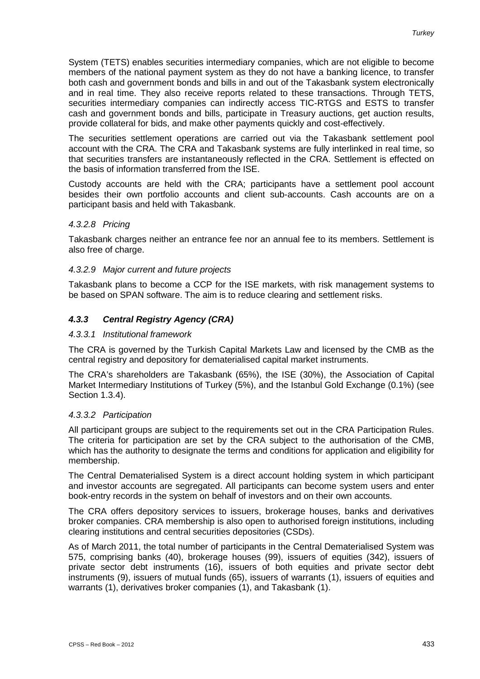System (TETS) enables securities intermediary companies, which are not eligible to become members of the national payment system as they do not have a banking licence, to transfer both cash and government bonds and bills in and out of the Takasbank system electronically and in real time. They also receive reports related to these transactions. Through TETS, securities intermediary companies can indirectly access TIC-RTGS and ESTS to transfer cash and government bonds and bills, participate in Treasury auctions, get auction results, provide collateral for bids, and make other payments quickly and cost-effectively.

The securities settlement operations are carried out via the Takasbank settlement pool account with the CRA. The CRA and Takasbank systems are fully interlinked in real time, so that securities transfers are instantaneously reflected in the CRA. Settlement is effected on the basis of information transferred from the ISE.

Custody accounts are held with the CRA; participants have a settlement pool account besides their own portfolio accounts and client sub-accounts. Cash accounts are on a participant basis and held with Takasbank.

#### *4.3.2.8 Pricing*

Takasbank charges neither an entrance fee nor an annual fee to its members. Settlement is also free of charge.

#### *4.3.2.9 Major current and future projects*

Takasbank plans to become a CCP for the ISE markets, with risk management systems to be based on SPAN software. The aim is to reduce clearing and settlement risks.

#### *4.3.3 Central Registry Agency (CRA)*

#### *4.3.3.1 Institutional framework*

The CRA is governed by the Turkish Capital Markets Law and licensed by the CMB as the central registry and depository for dematerialised capital market instruments.

The CRA's shareholders are Takasbank (65%), the ISE (30%), the Association of Capital Market Intermediary Institutions of Turkey (5%), and the Istanbul Gold Exchange (0.1%) (see Section 1.3.4).

#### *4.3.3.2 Participation*

All participant groups are subject to the requirements set out in the CRA Participation Rules. The criteria for participation are set by the CRA subject to the authorisation of the CMB, which has the authority to designate the terms and conditions for application and eligibility for membership.

The Central Dematerialised System is a direct account holding system in which participant and investor accounts are segregated. All participants can become system users and enter book-entry records in the system on behalf of investors and on their own accounts.

The CRA offers depository services to issuers, brokerage houses, banks and derivatives broker companies. CRA membership is also open to authorised foreign institutions, including clearing institutions and central securities depositories (CSDs).

As of March 2011, the total number of participants in the Central Dematerialised System was 575, comprising banks (40), brokerage houses (99), issuers of equities (342), issuers of private sector debt instruments (16), issuers of both equities and private sector debt instruments (9), issuers of mutual funds (65), issuers of warrants (1), issuers of equities and warrants (1), derivatives broker companies (1), and Takasbank (1).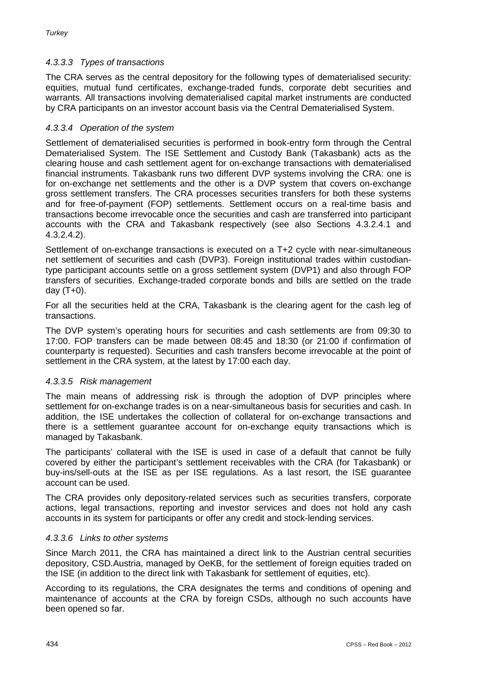# *4.3.3.3 Types of transactions*

The CRA serves as the central depository for the following types of dematerialised security: equities, mutual fund certificates, exchange-traded funds, corporate debt securities and warrants. All transactions involving dematerialised capital market instruments are conducted by CRA participants on an investor account basis via the Central Dematerialised System.

#### *4.3.3.4 Operation of the system*

Settlement of dematerialised securities is performed in book-entry form through the Central Dematerialised System. The ISE Settlement and Custody Bank (Takasbank) acts as the clearing house and cash settlement agent for on-exchange transactions with dematerialised financial instruments. Takasbank runs two different DVP systems involving the CRA: one is for on-exchange net settlements and the other is a DVP system that covers on-exchange gross settlement transfers. The CRA processes securities transfers for both these systems and for free-of-payment (FOP) settlements. Settlement occurs on a real-time basis and transactions become irrevocable once the securities and cash are transferred into participant accounts with the CRA and Takasbank respectively (see also Sections 4.3.2.4.1 and 4.3.2.4.2).

Settlement of on-exchange transactions is executed on a T+2 cycle with near-simultaneous net settlement of securities and cash (DVP3). Foreign institutional trades within custodiantype participant accounts settle on a gross settlement system (DVP1) and also through FOP transfers of securities. Exchange-traded corporate bonds and bills are settled on the trade day  $(T+0)$ .

For all the securities held at the CRA, Takasbank is the clearing agent for the cash leg of transactions.

The DVP system's operating hours for securities and cash settlements are from 09:30 to 17:00. FOP transfers can be made between 08:45 and 18:30 (or 21:00 if confirmation of counterparty is requested). Securities and cash transfers become irrevocable at the point of settlement in the CRA system, at the latest by 17:00 each day.

#### *4.3.3.5 Risk management*

The main means of addressing risk is through the adoption of DVP principles where settlement for on-exchange trades is on a near-simultaneous basis for securities and cash. In addition, the ISE undertakes the collection of collateral for on-exchange transactions and there is a settlement guarantee account for on-exchange equity transactions which is managed by Takasbank.

The participants' collateral with the ISE is used in case of a default that cannot be fully covered by either the participant's settlement receivables with the CRA (for Takasbank) or buy-ins/sell-outs at the ISE as per ISE regulations. As a last resort, the ISE guarantee account can be used.

The CRA provides only depository-related services such as securities transfers, corporate actions, legal transactions, reporting and investor services and does not hold any cash accounts in its system for participants or offer any credit and stock-lending services.

#### *4.3.3.6 Links to other systems*

Since March 2011, the CRA has maintained a direct link to the Austrian central securities depository, CSD.Austria, managed by OeKB, for the settlement of foreign equities traded on the ISE (in addition to the direct link with Takasbank for settlement of equities, etc).

According to its regulations, the CRA designates the terms and conditions of opening and maintenance of accounts at the CRA by foreign CSDs, although no such accounts have been opened so far.